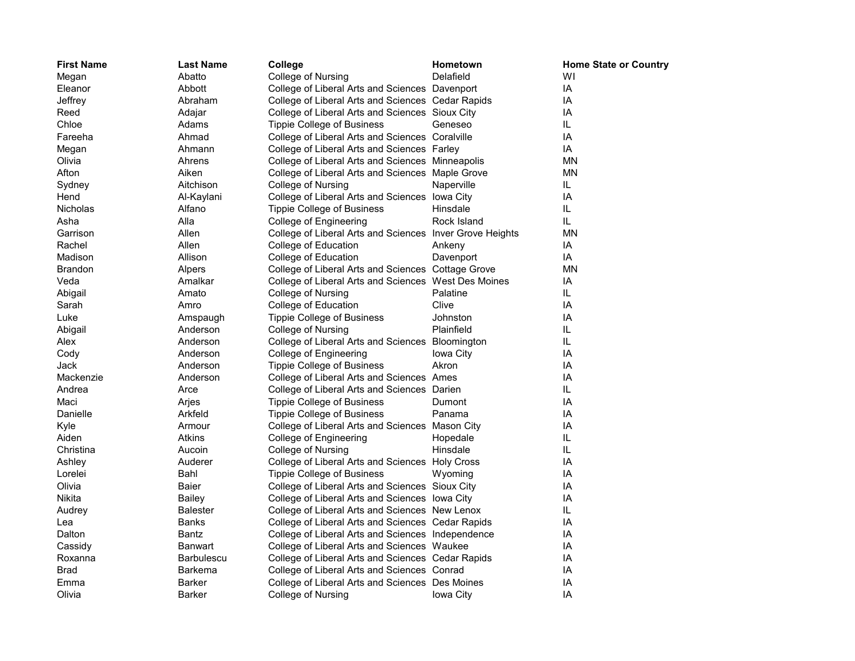| <b>First Name</b> | <b>Last Name</b>  | College                                                  | Hometown    | <b>Home State or Country</b> |
|-------------------|-------------------|----------------------------------------------------------|-------------|------------------------------|
| Megan             | Abatto            | College of Nursing                                       | Delafield   | W١                           |
| Eleanor           | Abbott            | College of Liberal Arts and Sciences Davenport           |             | IA                           |
| Jeffrey           | Abraham           | College of Liberal Arts and Sciences Cedar Rapids        |             | ΙA                           |
| Reed              | Adajar            | College of Liberal Arts and Sciences Sioux City          |             | ΙA                           |
| Chloe             | Adams             | Tippie College of Business                               | Geneseo     | IL.                          |
| Fareeha           | Ahmad             | College of Liberal Arts and Sciences Coralville          |             | IA                           |
| Megan             | Ahmann            | College of Liberal Arts and Sciences Farley              |             | ΙA                           |
| Olivia            | Ahrens            | College of Liberal Arts and Sciences Minneapolis         |             | MΝ                           |
| Afton             | Aiken             | College of Liberal Arts and Sciences Maple Grove         |             | ΜN                           |
| Sydney            | Aitchison         | College of Nursing                                       | Naperville  | IL.                          |
| Hend              | Al-Kaylani        | College of Liberal Arts and Sciences lowa City           |             | IA                           |
| <b>Nicholas</b>   | Alfano            | Tippie College of Business                               | Hinsdale    | IL.                          |
| Asha              | Alla              | College of Engineering                                   | Rock Island | IL.                          |
| Garrison          | Allen             | College of Liberal Arts and Sciences Inver Grove Heights |             | MΝ                           |
| Rachel            | Allen             | College of Education                                     | Ankeny      | ΙA                           |
| Madison           | Allison           | College of Education                                     | Davenport   | IA                           |
| <b>Brandon</b>    | Alpers            | College of Liberal Arts and Sciences Cottage Grove       |             | ΜN                           |
| Veda              | Amalkar           | College of Liberal Arts and Sciences West Des Moines     |             | IA                           |
| Abigail           | Amato             | College of Nursing                                       | Palatine    | IL.                          |
| Sarah             | Amro              | College of Education                                     | Clive       | IA                           |
| Luke              | Amspaugh          | <b>Tippie College of Business</b>                        | Johnston    | ΙA                           |
| Abigail           | Anderson          | College of Nursing                                       | Plainfield  | IL                           |
| Alex              | Anderson          | College of Liberal Arts and Sciences Bloomington         |             | IL.                          |
| Cody              | Anderson          | College of Engineering                                   | Iowa City   | IA                           |
| Jack              | Anderson          | Tippie College of Business                               | Akron       | IA                           |
| Mackenzie         | Anderson          | College of Liberal Arts and Sciences Ames                |             | IA                           |
| Andrea            | Arce              | College of Liberal Arts and Sciences Darien              |             | IL                           |
| Maci              | Arjes             | <b>Tippie College of Business</b>                        | Dumont      | IA                           |
| Danielle          | Arkfeld           | <b>Tippie College of Business</b>                        | Panama      | ΙA                           |
| Kyle              | Armour            | College of Liberal Arts and Sciences Mason City          |             | IA                           |
| Aiden             | Atkins            | College of Engineering                                   | Hopedale    | IL                           |
| Christina         | Aucoin            | College of Nursing                                       | Hinsdale    | IL.                          |
| Ashley            | Auderer           | College of Liberal Arts and Sciences Holy Cross          |             | IA                           |
| Lorelei           | Bahl              | <b>Tippie College of Business</b>                        | Wyoming     | IA                           |
| Olivia            | Baier             | College of Liberal Arts and Sciences Sioux City          |             | ΙA                           |
| Nikita            | <b>Bailey</b>     | College of Liberal Arts and Sciences lowa City           |             | IA                           |
| Audrey            | <b>Balester</b>   | College of Liberal Arts and Sciences New Lenox           |             | IL                           |
| Lea               | Banks             | College of Liberal Arts and Sciences Cedar Rapids        |             | ΙA                           |
| Dalton            | Bantz             | College of Liberal Arts and Sciences Independence        |             | IA                           |
| Cassidy           | Banwart           | College of Liberal Arts and Sciences Waukee              |             | ΙA                           |
| Roxanna           | <b>Barbulescu</b> | College of Liberal Arts and Sciences Cedar Rapids        |             | IA                           |
| Brad              | <b>Barkema</b>    | College of Liberal Arts and Sciences Conrad              |             | IA                           |
| Emma              | <b>Barker</b>     | College of Liberal Arts and Sciences Des Moines          |             | IA                           |
| Olivia            | <b>Barker</b>     | College of Nursing                                       | Iowa City   | IA                           |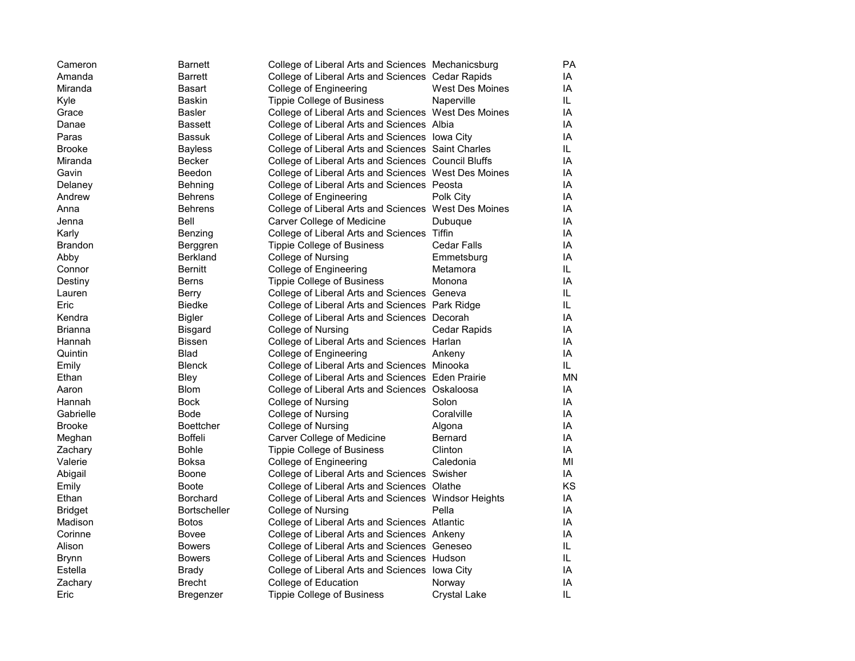| Cameron        | <b>Barnett</b>      | College of Liberal Arts and Sciences Mechanicsburg   |                        | PA  |
|----------------|---------------------|------------------------------------------------------|------------------------|-----|
| Amanda         | <b>Barrett</b>      | College of Liberal Arts and Sciences Cedar Rapids    |                        | IA  |
| Miranda        | Basart              | College of Engineering                               | <b>West Des Moines</b> | IA  |
| Kyle           | <b>Baskin</b>       | <b>Tippie College of Business</b>                    | Naperville             | IL. |
| Grace          | <b>Basler</b>       | College of Liberal Arts and Sciences West Des Moines |                        | ΙA  |
| Danae          | <b>Bassett</b>      | College of Liberal Arts and Sciences Albia           |                        | IA  |
| Paras          | Bassuk              | College of Liberal Arts and Sciences lowa City       |                        | ΙA  |
| <b>Brooke</b>  | <b>Bayless</b>      | College of Liberal Arts and Sciences Saint Charles   |                        | IL. |
| Miranda        | <b>Becker</b>       | College of Liberal Arts and Sciences Council Bluffs  |                        | ΙA  |
| Gavin          | Beedon              | College of Liberal Arts and Sciences West Des Moines |                        | IA  |
| Delaney        | Behning             | College of Liberal Arts and Sciences Peosta          |                        | IA  |
| Andrew         | <b>Behrens</b>      | College of Engineering                               | Polk City              | IA  |
| Anna           | <b>Behrens</b>      | College of Liberal Arts and Sciences West Des Moines |                        | ΙA  |
| Jenna          | Bell                | Carver College of Medicine                           | Dubuque                | IA  |
| Karly          | Benzing             | College of Liberal Arts and Sciences Tiffin          |                        | IA  |
| Brandon        | Berggren            | <b>Tippie College of Business</b>                    | Cedar Falls            | ΙA  |
| Abby           | <b>Berkland</b>     | College of Nursing                                   | Emmetsburg             | IA  |
| Connor         | <b>Bernitt</b>      | <b>College of Engineering</b>                        | Metamora               | IL. |
| Destiny        | <b>Berns</b>        | <b>Tippie College of Business</b>                    | Monona                 | IA  |
| Lauren         | Berry               | College of Liberal Arts and Sciences Geneva          |                        | IL  |
| Eric           | Biedke              | College of Liberal Arts and Sciences Park Ridge      |                        | IL. |
| Kendra         | <b>Bigler</b>       | College of Liberal Arts and Sciences Decorah         |                        | IA  |
| Brianna        | <b>Bisgard</b>      | College of Nursing                                   | Cedar Rapids           | ΙA  |
| Hannah         | <b>Bissen</b>       | College of Liberal Arts and Sciences Harlan          |                        | IA  |
| Quintin        | <b>Blad</b>         | College of Engineering                               | Ankeny                 | ΙA  |
| Emily          | <b>Blenck</b>       | College of Liberal Arts and Sciences Minooka         |                        | IL. |
| Ethan          | Bley                | College of Liberal Arts and Sciences Eden Prairie    |                        | MN  |
| Aaron          | <b>Blom</b>         | College of Liberal Arts and Sciences Oskaloosa       |                        | IA  |
| Hannah         | <b>Bock</b>         | College of Nursing                                   | Solon                  | IA  |
| Gabrielle      | <b>Bode</b>         | College of Nursing                                   | Coralville             | IA  |
| <b>Brooke</b>  | <b>Boettcher</b>    | College of Nursing                                   | Algona                 | IA  |
| Meghan         | <b>Boffeli</b>      | Carver College of Medicine                           | Bernard                | IA  |
| Zachary        | <b>Bohle</b>        | <b>Tippie College of Business</b>                    | Clinton                | IA  |
| Valerie        | Boksa               | College of Engineering                               | Caledonia              | MI  |
| Abigail        | Boone               | College of Liberal Arts and Sciences Swisher         |                        | IA  |
| Emily          | <b>Boote</b>        | College of Liberal Arts and Sciences Olathe          |                        | KS  |
| Ethan          | <b>Borchard</b>     | College of Liberal Arts and Sciences Windsor Heights |                        | ΙA  |
| <b>Bridget</b> | <b>Bortscheller</b> | College of Nursing                                   | Pella                  | IA  |
| Madison        | <b>Botos</b>        | College of Liberal Arts and Sciences Atlantic        |                        | IA  |
| Corinne        | Bovee               |                                                      |                        | IA  |
| Alison         | <b>Bowers</b>       | College of Liberal Arts and Sciences Ankeny          |                        | IL. |
|                |                     | College of Liberal Arts and Sciences Geneseo         |                        | IL  |
| <b>Brynn</b>   | <b>Bowers</b>       | College of Liberal Arts and Sciences Hudson          |                        |     |
| Estella        | Brady               | College of Liberal Arts and Sciences lowa City       |                        | IA  |
| Zachary        | <b>Brecht</b>       | College of Education                                 | Norway                 | IA  |
| Eric           | Bregenzer           | Tippie College of Business                           | Crystal Lake           | IL  |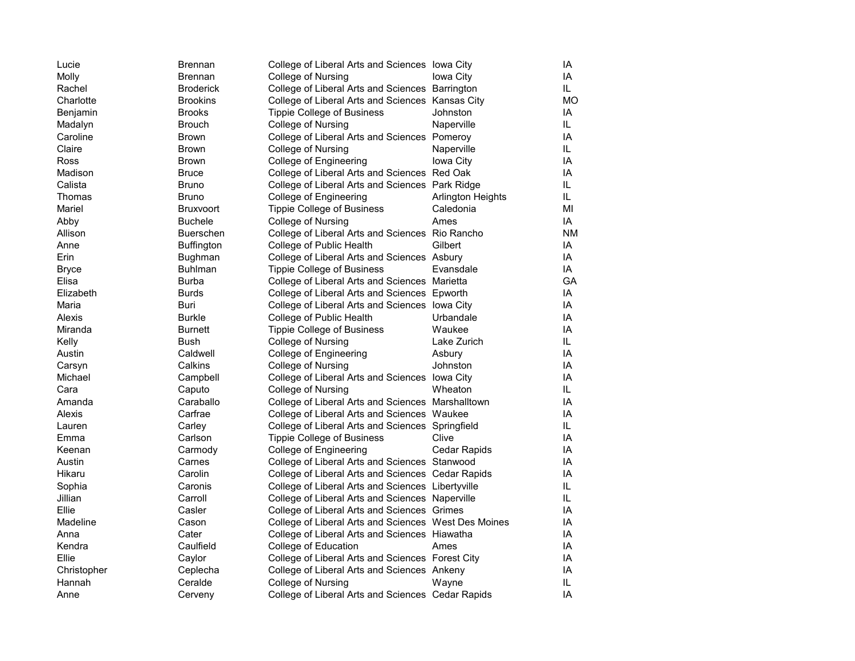| Lucie        | <b>Brennan</b>    | College of Liberal Arts and Sciences lowa City       |                   | IA        |
|--------------|-------------------|------------------------------------------------------|-------------------|-----------|
| Molly        | <b>Brennan</b>    | College of Nursing                                   | Iowa City         | IA        |
| Rachel       | <b>Broderick</b>  | College of Liberal Arts and Sciences Barrington      |                   | IL        |
| Charlotte    | <b>Brookins</b>   | College of Liberal Arts and Sciences Kansas City     |                   | <b>MO</b> |
| Benjamin     | <b>Brooks</b>     | <b>Tippie College of Business</b>                    | Johnston          | IA        |
| Madalyn      | <b>Brouch</b>     | College of Nursing                                   | Naperville        | IL        |
| Caroline     | <b>Brown</b>      | College of Liberal Arts and Sciences Pomeroy         |                   | IA        |
| Claire       | <b>Brown</b>      | College of Nursing                                   | Naperville        | IL        |
| Ross         | Brown             | College of Engineering                               | Iowa City         | IA        |
| Madison      | <b>Bruce</b>      | College of Liberal Arts and Sciences Red Oak         |                   | ΙA        |
| Calista      | <b>Bruno</b>      | College of Liberal Arts and Sciences Park Ridge      |                   | IL        |
| Thomas       | <b>Bruno</b>      | College of Engineering                               | Arlington Heights | IL        |
| Mariel       | <b>Bruxvoort</b>  | <b>Tippie College of Business</b>                    | Caledonia         | MI        |
| Abby         | <b>Buchele</b>    | College of Nursing                                   | Ames              | IA        |
| Allison      | <b>Buerschen</b>  | College of Liberal Arts and Sciences Rio Rancho      |                   | <b>NM</b> |
| Anne         | <b>Buffington</b> | College of Public Health                             | Gilbert           | IA        |
| Erin         | Bughman           | College of Liberal Arts and Sciences Asbury          |                   | IA        |
| <b>Bryce</b> | <b>Buhlman</b>    | <b>Tippie College of Business</b>                    | Evansdale         | IA        |
| Elisa        | <b>Burba</b>      | College of Liberal Arts and Sciences Marietta        |                   | GА        |
| Elizabeth    | <b>Burds</b>      | College of Liberal Arts and Sciences Epworth         |                   | IA        |
| Maria        | Buri              | College of Liberal Arts and Sciences lowa City       |                   | IA        |
| Alexis       | <b>Burkle</b>     | College of Public Health                             | Urbandale         | IA        |
| Miranda      | <b>Burnett</b>    | <b>Tippie College of Business</b>                    | Waukee            | IA        |
| Kelly        | Bush              | College of Nursing                                   | Lake Zurich       | IL        |
| Austin       | Caldwell          | College of Engineering                               | Asbury            | IA        |
| Carsyn       | Calkins           | College of Nursing                                   | Johnston          | IA        |
| Michael      | Campbell          | College of Liberal Arts and Sciences lowa City       |                   | IA        |
| Cara         | Caputo            | College of Nursing                                   | Wheaton           | IL        |
| Amanda       | Caraballo         | College of Liberal Arts and Sciences Marshalltown    |                   | IA        |
| Alexis       | Carfrae           | College of Liberal Arts and Sciences Waukee          |                   | IA        |
| Lauren       | Carley            | College of Liberal Arts and Sciences Springfield     |                   | IL        |
| Emma         | Carlson           | <b>Tippie College of Business</b>                    | Clive             | IA        |
| Keenan       | Carmody           | College of Engineering                               | Cedar Rapids      | IA        |
| Austin       | Carnes            | College of Liberal Arts and Sciences Stanwood        |                   | IA        |
| Hikaru       | Carolin           | College of Liberal Arts and Sciences Cedar Rapids    |                   | IA        |
| Sophia       | Caronis           | College of Liberal Arts and Sciences Libertyville    |                   | IL        |
| Jillian      | Carroll           | College of Liberal Arts and Sciences Naperville      |                   | IL        |
| Ellie        | Casler            | College of Liberal Arts and Sciences Grimes          |                   | IA        |
| Madeline     | Cason             | College of Liberal Arts and Sciences West Des Moines |                   | IA        |
| Anna         | Cater             | College of Liberal Arts and Sciences Hiawatha        |                   | IA        |
| Kendra       | Caulfield         | College of Education                                 | Ames              | IA        |
| Ellie        | Caylor            | College of Liberal Arts and Sciences Forest City     |                   | IA        |
| Christopher  | Ceplecha          | College of Liberal Arts and Sciences Ankeny          |                   | IA        |
| Hannah       | Ceralde           | College of Nursing                                   | Wayne             | IL        |
| Anne         | Cerveny           | College of Liberal Arts and Sciences Cedar Rapids    |                   | IA        |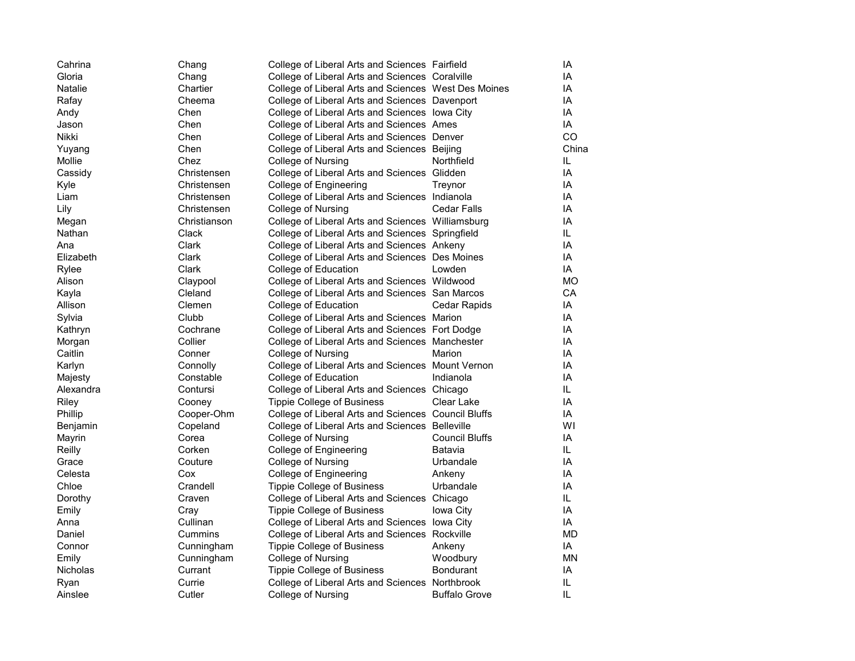| Cahrina   | Chang        | College of Liberal Arts and Sciences Fairfield       |                      | IA        |
|-----------|--------------|------------------------------------------------------|----------------------|-----------|
| Gloria    | Chang        | College of Liberal Arts and Sciences Coralville      |                      | IA        |
| Natalie   | Chartier     | College of Liberal Arts and Sciences West Des Moines |                      | IA        |
| Rafay     | Cheema       | College of Liberal Arts and Sciences Davenport       |                      | IA        |
| Andy      | Chen         | College of Liberal Arts and Sciences lowa City       |                      | IA        |
| Jason     | Chen         | College of Liberal Arts and Sciences Ames            |                      | IA        |
| Nikki     | Chen         | College of Liberal Arts and Sciences Denver          |                      | CO        |
| Yuyang    | Chen         | College of Liberal Arts and Sciences Beijing         |                      | China     |
| Mollie    | Chez         | College of Nursing                                   | Northfield           | IL.       |
| Cassidy   | Christensen  | College of Liberal Arts and Sciences Glidden         |                      | IA        |
| Kyle      | Christensen  | College of Engineering                               | Treynor              | IA        |
| Liam      | Christensen  | College of Liberal Arts and Sciences Indianola       |                      | IA        |
| Lily      | Christensen  | College of Nursing                                   | Cedar Falls          | IA        |
| Megan     | Christianson | College of Liberal Arts and Sciences Williamsburg    |                      | IA        |
| Nathan    | Clack        | College of Liberal Arts and Sciences Springfield     |                      | IL.       |
| Ana       | Clark        | College of Liberal Arts and Sciences Ankeny          |                      | IA        |
| Elizabeth | Clark        | College of Liberal Arts and Sciences Des Moines      |                      | IA        |
| Rylee     | Clark        | College of Education                                 | Lowden               | IA        |
| Alison    | Claypool     | College of Liberal Arts and Sciences Wildwood        |                      | <b>MO</b> |
| Kayla     | Cleland      | College of Liberal Arts and Sciences San Marcos      |                      | CA        |
| Allison   | Clemen       | College of Education                                 | Cedar Rapids         | IA        |
| Sylvia    | Clubb        | College of Liberal Arts and Sciences Marion          |                      | IA        |
| Kathryn   | Cochrane     | College of Liberal Arts and Sciences Fort Dodge      |                      | IA        |
| Morgan    | Collier      | College of Liberal Arts and Sciences Manchester      |                      | IA        |
| Caitlin   | Conner       | College of Nursing                                   | Marion               | IA        |
| Karlyn    | Connolly     | College of Liberal Arts and Sciences Mount Vernon    |                      | IA        |
| Majesty   | Constable    | College of Education                                 | Indianola            | IA        |
| Alexandra | Contursi     | College of Liberal Arts and Sciences Chicago         |                      | IL.       |
| Riley     | Cooney       | Tippie College of Business                           | Clear Lake           | IA        |
| Phillip   | Cooper-Ohm   | College of Liberal Arts and Sciences Council Bluffs  |                      | IA        |
| Benjamin  | Copeland     | College of Liberal Arts and Sciences Belleville      |                      | W١        |
| Mayrin    | Corea        | College of Nursing                                   | Council Bluffs       | IA        |
| Reilly    | Corken       | College of Engineering                               | Batavia              | IL.       |
| Grace     | Couture      | College of Nursing                                   | Urbandale            | IA        |
| Celesta   | Cox          | College of Engineering                               | Ankeny               | IA        |
| Chloe     | Crandell     | Tippie College of Business                           | Urbandale            | IA        |
| Dorothy   | Craven       | College of Liberal Arts and Sciences Chicago         |                      | IL.       |
| Emily     | Cray         | <b>Tippie College of Business</b>                    | Iowa City            | IA        |
| Anna      | Cullinan     | College of Liberal Arts and Sciences lowa City       |                      | IA        |
| Daniel    | Cummins      | College of Liberal Arts and Sciences Rockville       |                      | MD        |
| Connor    | Cunningham   | <b>Tippie College of Business</b>                    | Ankeny               | IA        |
| Emily     | Cunningham   | College of Nursing                                   | Woodbury             | ΜN        |
| Nicholas  | Currant      | <b>Tippie College of Business</b>                    | <b>Bondurant</b>     | IA        |
| Ryan      | Currie       | College of Liberal Arts and Sciences Northbrook      |                      | IL        |
| Ainslee   | Cutler       | College of Nursing                                   | <b>Buffalo Grove</b> | IL        |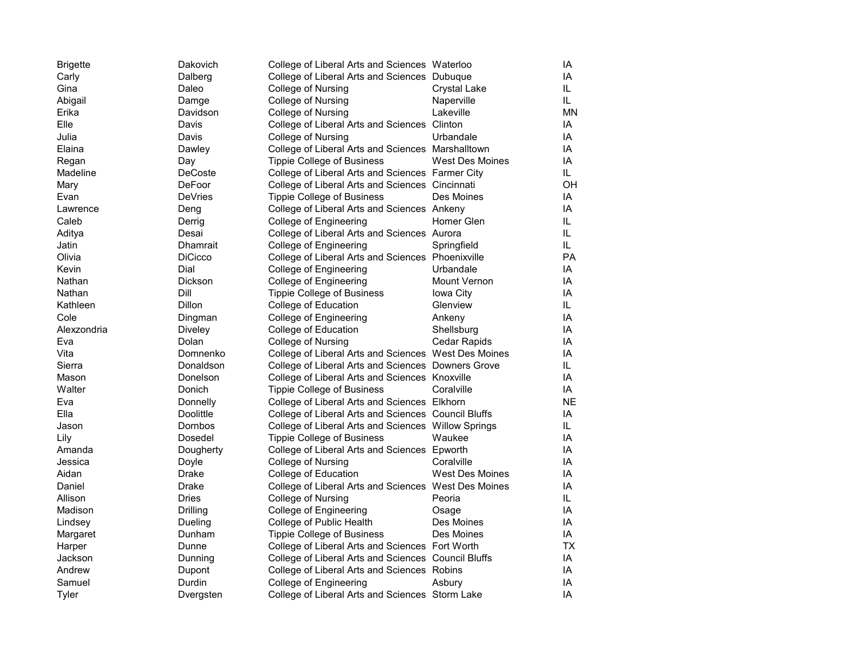| <b>Brigette</b> | Dakovich        | College of Liberal Arts and Sciences Waterloo        |                        | IA        |
|-----------------|-----------------|------------------------------------------------------|------------------------|-----------|
| Carly           | Dalberg         | College of Liberal Arts and Sciences Dubuque         |                        | IA        |
| Gina            | Daleo           | College of Nursing                                   | Crystal Lake           | IL.       |
| Abigail         | Damge           | College of Nursing                                   | Naperville             | IL.       |
| Erika           | Davidson        | College of Nursing                                   | Lakeville              | <b>MN</b> |
| Elle            | Davis           | College of Liberal Arts and Sciences Clinton         |                        | IA        |
| Julia           | Davis           | College of Nursing                                   | Urbandale              | IA        |
| Elaina          | Dawley          | College of Liberal Arts and Sciences Marshalltown    |                        | IA        |
| Regan           | Day             | <b>Tippie College of Business</b>                    | <b>West Des Moines</b> | IA        |
| Madeline        | <b>DeCoste</b>  | College of Liberal Arts and Sciences Farmer City     |                        | IL.       |
| Mary            | DeFoor          | College of Liberal Arts and Sciences Cincinnati      |                        | OН        |
| Evan            | DeVries         | <b>Tippie College of Business</b>                    | Des Moines             | IA        |
| Lawrence        | Deng            | College of Liberal Arts and Sciences Ankeny          |                        | IA        |
| Caleb           | Derrig          | College of Engineering                               | Homer Glen             | IL.       |
| Aditya          | Desai           | College of Liberal Arts and Sciences Aurora          |                        | IL.       |
| Jatin           | <b>Dhamrait</b> | College of Engineering                               | Springfield            | IL.       |
| Olivia          | <b>DiCicco</b>  | College of Liberal Arts and Sciences Phoenixville    |                        | PA        |
| Kevin           | Dial            | College of Engineering                               | Urbandale              | IA        |
| Nathan          | Dickson         | College of Engineering                               | <b>Mount Vernon</b>    | IA        |
| Nathan          | Dill            | <b>Tippie College of Business</b>                    | Iowa City              | IA        |
| Kathleen        | Dillon          | College of Education                                 | Glenview               | IL.       |
| Cole            | Dingman         | College of Engineering                               | Ankeny                 | IA        |
| Alexzondria     | Diveley         | College of Education                                 | Shellsburg             | IA        |
| Eva             | Dolan           | College of Nursing                                   | Cedar Rapids           | IA        |
| Vita            | Domnenko        | College of Liberal Arts and Sciences West Des Moines |                        | IA        |
| Sierra          | Donaldson       | College of Liberal Arts and Sciences Downers Grove   |                        | IL.       |
| Mason           | Donelson        | College of Liberal Arts and Sciences Knoxville       |                        | IA        |
| Walter          | Donich          | <b>Tippie College of Business</b>                    | Coralville             | IA        |
| Eva             | Donnelly        | College of Liberal Arts and Sciences Elkhorn         |                        | <b>NE</b> |
| Ella            | Doolittle       | College of Liberal Arts and Sciences Council Bluffs  |                        | IA        |
| Jason           | Dornbos         | College of Liberal Arts and Sciences Willow Springs  |                        | IL.       |
| Lily            | Dosedel         | <b>Tippie College of Business</b>                    | Waukee                 | IA        |
| Amanda          | Dougherty       | College of Liberal Arts and Sciences Epworth         |                        | IA        |
| Jessica         | Doyle           | College of Nursing                                   | Coralville             | IA        |
| Aidan           | Drake           | College of Education                                 | <b>West Des Moines</b> | IA        |
| Daniel          | Drake           | College of Liberal Arts and Sciences West Des Moines |                        | IA        |
| Allison         | Dries           | College of Nursing                                   | Peoria                 | IL.       |
| Madison         | <b>Drilling</b> | College of Engineering                               | Osage                  | IA        |
| Lindsey         | Dueling         | College of Public Health                             | Des Moines             | IA        |
| Margaret        | Dunham          | <b>Tippie College of Business</b>                    | Des Moines             | IA        |
| Harper          | Dunne           | College of Liberal Arts and Sciences Fort Worth      |                        | <b>TX</b> |
| Jackson         | Dunning         | College of Liberal Arts and Sciences Council Bluffs  |                        | IA        |
| Andrew          | Dupont          | College of Liberal Arts and Sciences Robins          |                        | IA        |
| Samuel          | Durdin          | College of Engineering                               | Asbury                 | IA        |
| Tyler           | Dvergsten       | College of Liberal Arts and Sciences Storm Lake      |                        | IA        |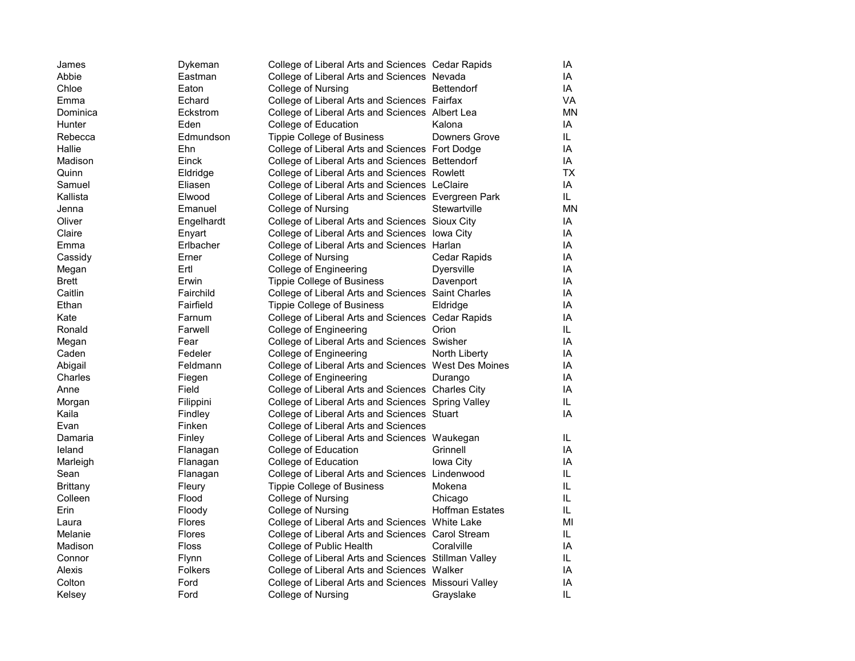| James        | Dykeman       | College of Liberal Arts and Sciences Cedar Rapids    |                        | IA        |
|--------------|---------------|------------------------------------------------------|------------------------|-----------|
| Abbie        | Eastman       | College of Liberal Arts and Sciences Nevada          |                        | IA        |
| Chloe        | Eaton         | College of Nursing                                   | <b>Bettendorf</b>      | IA        |
| Emma         | Echard        | College of Liberal Arts and Sciences Fairfax         |                        | VA        |
| Dominica     | Eckstrom      | College of Liberal Arts and Sciences Albert Lea      |                        | <b>MN</b> |
| Hunter       | Eden          | College of Education                                 | Kalona                 | IA        |
| Rebecca      | Edmundson     | <b>Tippie College of Business</b>                    | Downers Grove          | IL.       |
| Hallie       | Ehn           | College of Liberal Arts and Sciences Fort Dodge      |                        | IA        |
| Madison      | Einck         | College of Liberal Arts and Sciences Bettendorf      |                        | IA        |
| Quinn        | Eldridge      | College of Liberal Arts and Sciences Rowlett         |                        | <b>TX</b> |
| Samuel       | Eliasen       | College of Liberal Arts and Sciences LeClaire        |                        | IA        |
| Kallista     | Elwood        | College of Liberal Arts and Sciences Evergreen Park  |                        | IL.       |
| Jenna        | Emanuel       | College of Nursing                                   | Stewartville           | <b>MN</b> |
| Oliver       | Engelhardt    | College of Liberal Arts and Sciences Sioux City      |                        | IA        |
| Claire       | Enyart        | College of Liberal Arts and Sciences lowa City       |                        | IA        |
| Emma         | Erlbacher     | College of Liberal Arts and Sciences Harlan          |                        | IA        |
| Cassidy      | Erner         | College of Nursing                                   | Cedar Rapids           | IA        |
| Megan        | Ertl          | College of Engineering                               | <b>Dyersville</b>      | IA        |
| <b>Brett</b> | Erwin         | <b>Tippie College of Business</b>                    | Davenport              | IA        |
| Caitlin      | Fairchild     | College of Liberal Arts and Sciences Saint Charles   |                        | IA        |
| Ethan        | Fairfield     | <b>Tippie College of Business</b>                    | Eldridge               | IA        |
| Kate         | Farnum        | College of Liberal Arts and Sciences Cedar Rapids    |                        | IA        |
| Ronald       | Farwell       | College of Engineering                               | Orion                  | IL.       |
| Megan        | Fear          | College of Liberal Arts and Sciences Swisher         |                        | IA        |
| Caden        | Fedeler       | College of Engineering                               | North Liberty          | IA        |
| Abigail      | Feldmann      | College of Liberal Arts and Sciences West Des Moines |                        | IA        |
| Charles      | Fiegen        | College of Engineering                               | Durango                | IA        |
| Anne         | Field         | College of Liberal Arts and Sciences Charles City    |                        | IA        |
| Morgan       | Filippini     | College of Liberal Arts and Sciences Spring Valley   |                        | IL.       |
| Kaila        | Findley       | College of Liberal Arts and Sciences Stuart          |                        | IA        |
| Evan         | Finken        | College of Liberal Arts and Sciences                 |                        |           |
| Damaria      | Finley        | College of Liberal Arts and Sciences Waukegan        |                        | IL.       |
| leland       | Flanagan      | College of Education                                 | Grinnell               | IA        |
| Marleigh     | Flanagan      | College of Education                                 | Iowa City              | IA        |
| Sean         | Flanagan      | College of Liberal Arts and Sciences Lindenwood      |                        | IL.       |
| Brittany     | Fleury        | Tippie College of Business                           | Mokena                 | IL.       |
| Colleen      | Flood         | College of Nursing                                   | Chicago                | IL.       |
| Erin         | Floody        | College of Nursing                                   | <b>Hoffman Estates</b> | IL.       |
| Laura        | <b>Flores</b> | College of Liberal Arts and Sciences White Lake      |                        | MI        |
| Melanie      | <b>Flores</b> | College of Liberal Arts and Sciences Carol Stream    |                        | IL.       |
| Madison      | Floss         | College of Public Health                             | Coralville             | IA        |
| Connor       | <b>Flynn</b>  | College of Liberal Arts and Sciences Stillman Valley |                        | IL.       |
| Alexis       | Folkers       | College of Liberal Arts and Sciences Walker          |                        | IA        |
| Colton       | Ford          | College of Liberal Arts and Sciences Missouri Valley |                        | IA        |
| Kelsey       | Ford          | College of Nursing                                   | Grayslake              | IL        |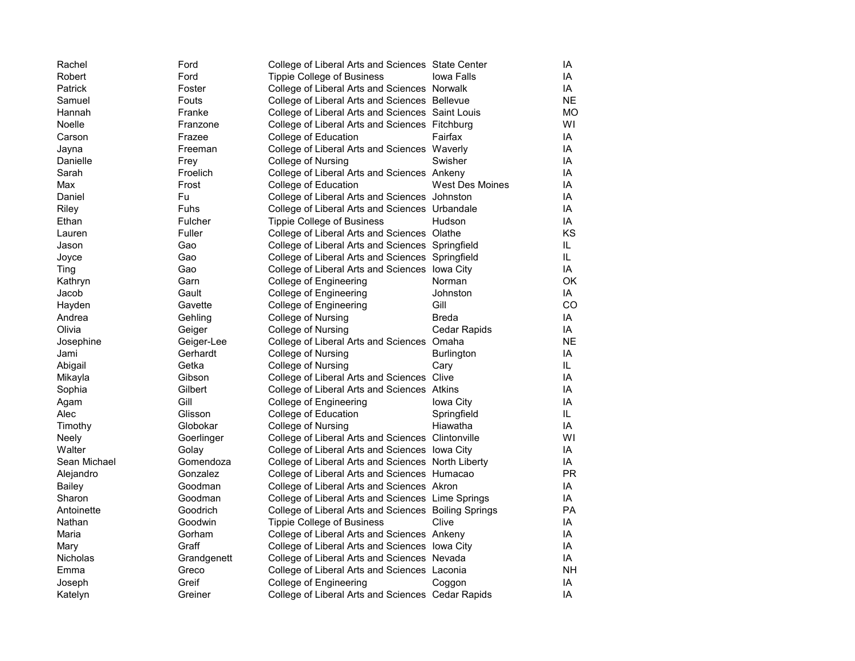| Rachel       | Ford        | College of Liberal Arts and Sciences State Center    |                   | ΙA        |
|--------------|-------------|------------------------------------------------------|-------------------|-----------|
| Robert       | Ford        | <b>Tippie College of Business</b>                    | <b>Iowa Falls</b> | IA        |
| Patrick      | Foster      | College of Liberal Arts and Sciences Norwalk         |                   | IA        |
| Samuel       | Fouts       | College of Liberal Arts and Sciences Bellevue        |                   | NE.       |
| Hannah       | Franke      | College of Liberal Arts and Sciences Saint Louis     |                   | MО        |
| Noelle       | Franzone    | College of Liberal Arts and Sciences Fitchburg       |                   | W١        |
| Carson       | Frazee      | College of Education                                 | Fairfax           | ΙA        |
| Jayna        | Freeman     | College of Liberal Arts and Sciences Waverly         |                   | ΙA        |
| Danielle     | Frey        | College of Nursing                                   | Swisher           | ΙA        |
| Sarah        | Froelich    | College of Liberal Arts and Sciences Ankeny          |                   | ΙA        |
| Max          | Frost       | College of Education                                 | West Des Moines   | ΙA        |
| Daniel       | Fu          | College of Liberal Arts and Sciences Johnston        |                   | ΙA        |
| Riley        | <b>Fuhs</b> | College of Liberal Arts and Sciences Urbandale       |                   | ΙA        |
| Ethan        | Fulcher     | <b>Tippie College of Business</b>                    | Hudson            | ΙA        |
| Lauren       | Fuller      | College of Liberal Arts and Sciences Olathe          |                   | KS        |
| Jason        | Gao         | College of Liberal Arts and Sciences Springfield     |                   | IL.       |
| Joyce        | Gao         | College of Liberal Arts and Sciences Springfield     |                   | IL        |
| Ting         | Gao         | College of Liberal Arts and Sciences lowa City       |                   | IA        |
| Kathryn      | Garn        | College of Engineering                               | Norman            | ОK        |
| Jacob        | Gault       | College of Engineering                               | Johnston          | ΙA        |
| Hayden       | Gavette     | College of Engineering                               | Gill              | CO        |
| Andrea       | Gehling     | College of Nursing                                   | <b>Breda</b>      | IA        |
| Olivia       | Geiger      | College of Nursing                                   | Cedar Rapids      | IA        |
| Josephine    | Geiger-Lee  | College of Liberal Arts and Sciences Omaha           |                   | <b>NE</b> |
| Jami         | Gerhardt    | College of Nursing                                   | <b>Burlington</b> | IA        |
| Abigail      | Getka       | College of Nursing                                   | Cary              | IL        |
| Mikayla      | Gibson      | College of Liberal Arts and Sciences Clive           |                   | IA        |
| Sophia       | Gilbert     | College of Liberal Arts and Sciences Atkins          |                   | IA        |
| Agam         | Gill        | College of Engineering                               | Iowa City         | ΙA        |
| Alec         | Glisson     | College of Education                                 | Springfield       | IL        |
| Timothy      | Globokar    | College of Nursing                                   | Hiawatha          | IA        |
| Neely        | Goerlinger  | College of Liberal Arts and Sciences Clintonville    |                   | W١        |
| Walter       | Golay       | College of Liberal Arts and Sciences lowa City       |                   | IA        |
| Sean Michael | Gomendoza   | College of Liberal Arts and Sciences North Liberty   |                   | IA        |
| Alejandro    | Gonzalez    | College of Liberal Arts and Sciences Humacao         |                   | <b>PR</b> |
| Bailey       | Goodman     | College of Liberal Arts and Sciences Akron           |                   | ΙA        |
| Sharon       | Goodman     | College of Liberal Arts and Sciences Lime Springs    |                   | IA        |
| Antoinette   | Goodrich    | College of Liberal Arts and Sciences Boiling Springs |                   | <b>PA</b> |
| Nathan       | Goodwin     | <b>Tippie College of Business</b>                    | Clive             | ΙA        |
| Maria        | Gorham      | College of Liberal Arts and Sciences Ankeny          |                   | ΙA        |
| Mary         | Graff       | College of Liberal Arts and Sciences lowa City       |                   | ΙA        |
| Nicholas     | Grandgenett | College of Liberal Arts and Sciences Nevada          |                   | IA        |
| Emma         | Greco       | College of Liberal Arts and Sciences Laconia         |                   | NΗ        |
| Joseph       | Greif       | College of Engineering                               | Coggon            | ΙA        |
| Katelyn      | Greiner     | College of Liberal Arts and Sciences Cedar Rapids    |                   | IA        |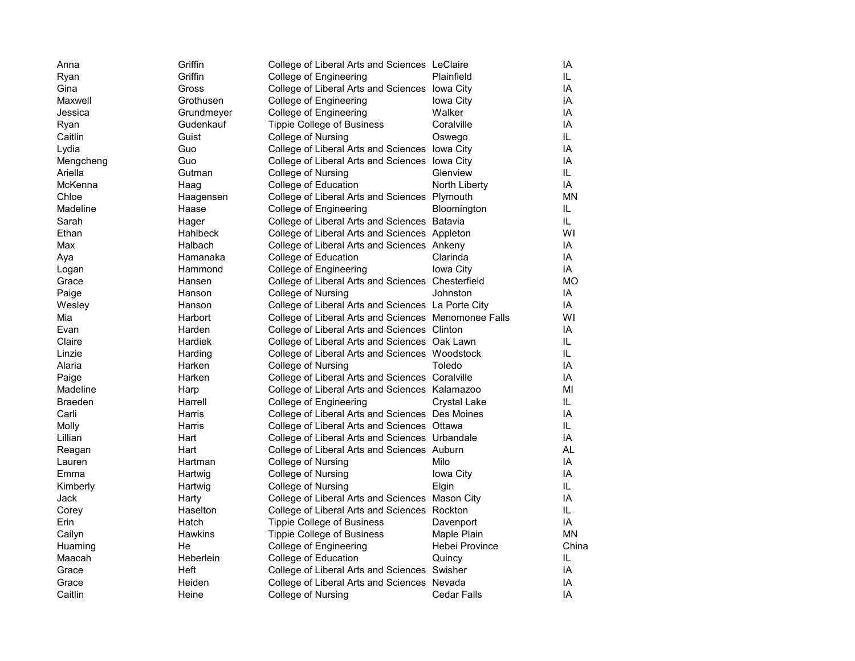| Anna           | Griffin        | College of Liberal Arts and Sciences LeClaire        |                    | IA        |
|----------------|----------------|------------------------------------------------------|--------------------|-----------|
| Ryan           | Griffin        | College of Engineering                               | Plainfield         | IL.       |
| Gina           | Gross          | College of Liberal Arts and Sciences lowa City       |                    | IA        |
| Maxwell        | Grothusen      | College of Engineering                               | Iowa City          | IA        |
| Jessica        | Grundmeyer     | College of Engineering                               | Walker             | IA        |
| Ryan           | Gudenkauf      | <b>Tippie College of Business</b>                    | Coralville         | IA        |
| Caitlin        | Guist          | College of Nursing                                   | Oswego             | IL.       |
| Lydia          | Guo            | College of Liberal Arts and Sciences lowa City       |                    | IA        |
| Mengcheng      | Guo            | College of Liberal Arts and Sciences lowa City       |                    | IA        |
| Ariella        | Gutman         | College of Nursing                                   | Glenview           | IL.       |
| McKenna        | Haag           | College of Education                                 | North Liberty      | IA        |
| Chloe          | Haagensen      | College of Liberal Arts and Sciences Plymouth        |                    | ΜN        |
| Madeline       | Haase          | College of Engineering                               | Bloomington        | IL.       |
| Sarah          | Hager          | College of Liberal Arts and Sciences Batavia         |                    | IL.       |
| Ethan          | Hahlbeck       | College of Liberal Arts and Sciences Appleton        |                    | WI        |
| Max            | Halbach        | College of Liberal Arts and Sciences Ankeny          |                    | IA        |
| Ava            | Hamanaka       | College of Education                                 | Clarinda           | IA        |
| Logan          | Hammond        | College of Engineering                               | Iowa City          | IA        |
| Grace          | Hansen         | College of Liberal Arts and Sciences Chesterfield    |                    | <b>MO</b> |
| Paige          | Hanson         | College of Nursing                                   | Johnston           | IA        |
| Wesley         | Hanson         | College of Liberal Arts and Sciences La Porte City   |                    | IA        |
| Mia            | Harbort        | College of Liberal Arts and Sciences Menomonee Falls |                    | WI        |
| Evan           | Harden         | College of Liberal Arts and Sciences Clinton         |                    | IA        |
| Claire         | Hardiek        | College of Liberal Arts and Sciences Oak Lawn        |                    | IL.       |
| Linzie         | Harding        | College of Liberal Arts and Sciences Woodstock       |                    | IL.       |
| Alaria         | Harken         | College of Nursing                                   | Toledo             | IA        |
| Paige          | Harken         | College of Liberal Arts and Sciences Coralville      |                    | IA        |
| Madeline       | Harp           | College of Liberal Arts and Sciences Kalamazoo       |                    | MI        |
| <b>Braeden</b> | Harrell        | College of Engineering                               | Crystal Lake       | IL.       |
| Carli          | Harris         | College of Liberal Arts and Sciences Des Moines      |                    | IA        |
| Molly          | Harris         | College of Liberal Arts and Sciences Ottawa          |                    | IL.       |
| Lillian        | Hart           | College of Liberal Arts and Sciences Urbandale       |                    | IA        |
| Reagan         | Hart           | College of Liberal Arts and Sciences Auburn          |                    | <b>AL</b> |
| Lauren         | Hartman        | College of Nursing                                   | Milo               | IA        |
| Emma           | Hartwig        | College of Nursing                                   | Iowa City          | IA        |
| Kimberly       | Hartwig        | College of Nursing                                   | Elgin              | IL.       |
| Jack           | Harty          | College of Liberal Arts and Sciences Mason City      |                    | IA        |
| Corey          | Haselton       | College of Liberal Arts and Sciences Rockton         |                    | IL.       |
| Erin           | Hatch          | <b>Tippie College of Business</b>                    | Davenport          | IA        |
| Cailyn         | <b>Hawkins</b> | <b>Tippie College of Business</b>                    | Maple Plain        | <b>MN</b> |
| Huaming        | He             | College of Engineering                               | Hebei Province     | China     |
| Maacah         | Heberlein      | College of Education                                 | Quincy             | IL.       |
| Grace          | Heft           | College of Liberal Arts and Sciences Swisher         |                    | IA        |
| Grace          | Heiden         | College of Liberal Arts and Sciences Nevada          |                    | IA        |
| Caitlin        | Heine          | College of Nursing                                   | <b>Cedar Falls</b> | IA        |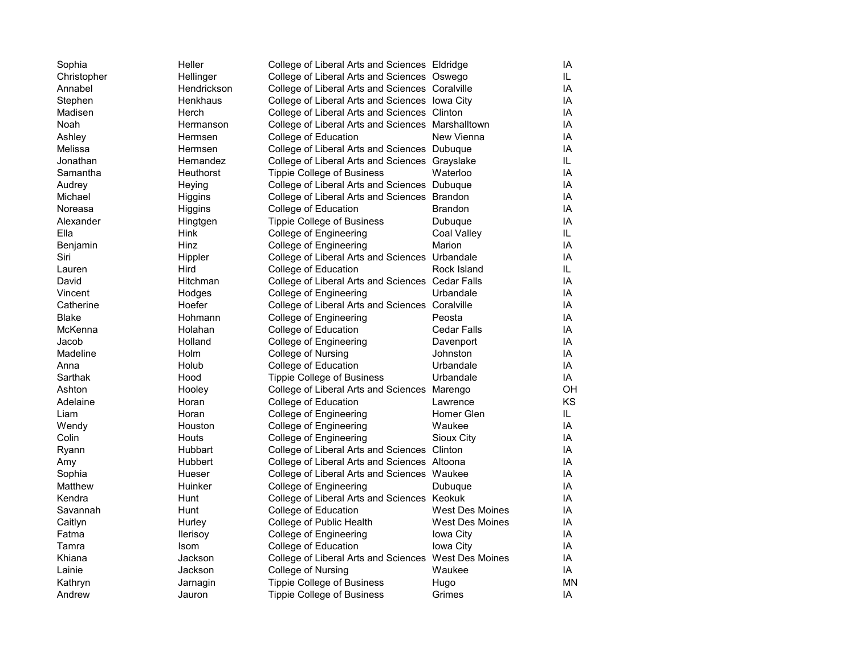| Sophia      | Heller          | College of Liberal Arts and Sciences Eldridge        |                        | IA  |
|-------------|-----------------|------------------------------------------------------|------------------------|-----|
| Christopher | Hellinger       | College of Liberal Arts and Sciences Oswego          |                        | IL. |
| Annabel     | Hendrickson     | College of Liberal Arts and Sciences Coralville      |                        | IA  |
| Stephen     | Henkhaus        | College of Liberal Arts and Sciences lowa City       |                        | IA  |
| Madisen     | Herch           | College of Liberal Arts and Sciences Clinton         |                        | IA  |
| Noah        | Hermanson       | College of Liberal Arts and Sciences Marshalltown    |                        | IA  |
| Ashley      | Hermsen         | College of Education                                 | New Vienna             | IA  |
| Melissa     | Hermsen         | College of Liberal Arts and Sciences Dubuque         |                        | IA  |
| Jonathan    | Hernandez       | College of Liberal Arts and Sciences Grayslake       |                        | IL. |
| Samantha    | Heuthorst       | Tippie College of Business                           | Waterloo               | IA  |
| Audrey      | Heying          | College of Liberal Arts and Sciences Dubuque         |                        | IA  |
| Michael     | Higgins         | College of Liberal Arts and Sciences Brandon         |                        | IA  |
| Noreasa     | Higgins         | College of Education                                 | Brandon                | IA  |
| Alexander   | Hingtgen        | <b>Tippie College of Business</b>                    | Dubuque                | IA  |
| Ella        | Hink            | College of Engineering                               | Coal Valley            | IL. |
| Benjamin    | Hinz            | College of Engineering                               | Marion                 | IA  |
| Siri        | Hippler         | College of Liberal Arts and Sciences Urbandale       |                        | IA  |
| Lauren      | Hird            | College of Education                                 | Rock Island            | IL. |
| David       | <b>Hitchman</b> | College of Liberal Arts and Sciences Cedar Falls     |                        | IA  |
| Vincent     | Hodges          | College of Engineering                               | Urbandale              | IA  |
| Catherine   | Hoefer          | College of Liberal Arts and Sciences Coralville      |                        | IA  |
| Blake       | Hohmann         | College of Engineering                               | Peosta                 | IA  |
| McKenna     | Holahan         | College of Education                                 | <b>Cedar Falls</b>     | IA  |
| Jacob       | Holland         | College of Engineering                               | Davenport              | IA  |
| Madeline    | Holm            | College of Nursing                                   | Johnston               | IA  |
| Anna        | Holub           | College of Education                                 | Urbandale              | IA  |
| Sarthak     | Hood            | <b>Tippie College of Business</b>                    | Urbandale              | IA  |
| Ashton      | Hooley          | College of Liberal Arts and Sciences Marengo         |                        | OH  |
| Adelaine    | Horan           | College of Education                                 | Lawrence               | ΚS  |
| Liam        | Horan           | College of Engineering                               | Homer Glen             | IL. |
| Wendy       | Houston         | College of Engineering                               | Waukee                 | IA  |
| Colin       | Houts           | College of Engineering                               | Sioux City             | IA  |
| Ryann       | Hubbart         | College of Liberal Arts and Sciences Clinton         |                        | IA  |
| Amy         | Hubbert         | College of Liberal Arts and Sciences Altoona         |                        | IA  |
| Sophia      | Hueser          | College of Liberal Arts and Sciences Waukee          |                        | IA  |
| Matthew     | Huinker         | College of Engineering                               | Dubuque                | IA  |
| Kendra      | Hunt            | College of Liberal Arts and Sciences Keokuk          |                        | IA  |
| Savannah    | Hunt            | College of Education                                 | West Des Moines        | IA  |
| Caitlyn     | Hurley          | College of Public Health                             | <b>West Des Moines</b> | IA  |
| Fatma       | <b>Ilerisoy</b> | College of Engineering                               | Iowa City              | IA  |
| Tamra       | Isom            | College of Education                                 | Iowa City              | IA  |
| Khiana      | Jackson         | College of Liberal Arts and Sciences West Des Moines |                        | IA  |
| Lainie      | Jackson         | College of Nursing                                   | Waukee                 | IA  |
| Kathryn     | Jarnagin        | <b>Tippie College of Business</b>                    | Hugo                   | MN  |
| Andrew      | Jauron          | Tippie College of Business                           | Grimes                 | IA  |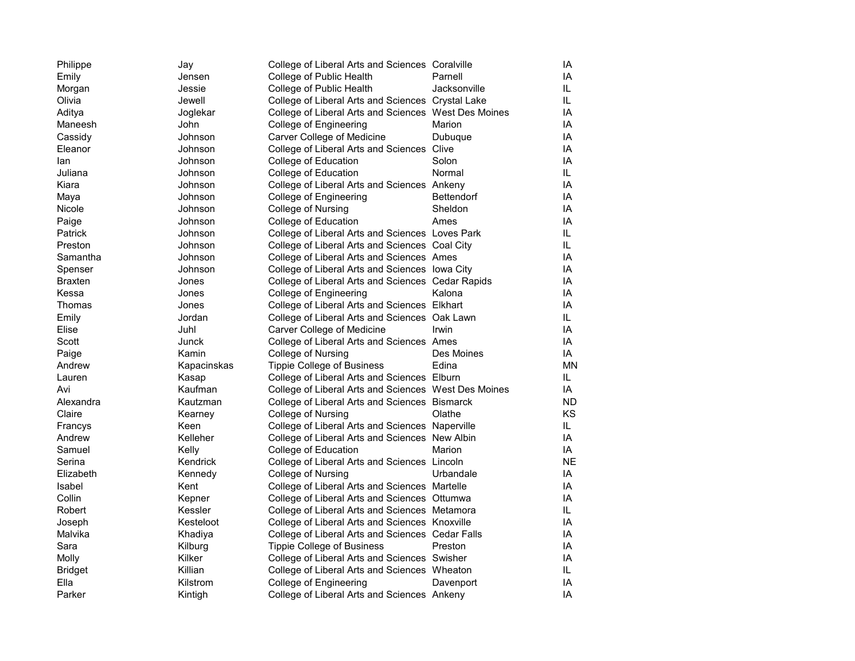| Philippe       | Jay         | College of Liberal Arts and Sciences Coralville      |              | IA        |
|----------------|-------------|------------------------------------------------------|--------------|-----------|
| Emily          | Jensen      | College of Public Health                             | Parnell      | IA        |
| Morgan         | Jessie      | College of Public Health                             | Jacksonville | IL        |
| Olivia         | Jewell      | College of Liberal Arts and Sciences Crystal Lake    |              | IL        |
| Aditya         | Joglekar    | College of Liberal Arts and Sciences West Des Moines |              | IA        |
| Maneesh        | John        | College of Engineering                               | Marion       | ΙA        |
| Cassidy        | Johnson     | Carver College of Medicine                           | Dubuque      | IA        |
| Eleanor        | Johnson     | College of Liberal Arts and Sciences Clive           |              | IA        |
| lan            | Johnson     | College of Education                                 | Solon        | IA        |
| Juliana        | Johnson     | College of Education                                 | Normal       | IL        |
| Kiara          | Johnson     | College of Liberal Arts and Sciences Ankeny          |              | IA        |
| Maya           | Johnson     | College of Engineering                               | Bettendorf   | ΙA        |
| Nicole         | Johnson     | College of Nursing                                   | Sheldon      | IA        |
| Paige          | Johnson     | College of Education                                 | Ames         | IA        |
| Patrick        | Johnson     | College of Liberal Arts and Sciences Loves Park      |              | IL        |
| Preston        | Johnson     | College of Liberal Arts and Sciences Coal City       |              | IL        |
| Samantha       | Johnson     | College of Liberal Arts and Sciences Ames            |              | IA        |
| Spenser        | Johnson     | College of Liberal Arts and Sciences lowa City       |              | IA        |
| Braxten        | Jones       | College of Liberal Arts and Sciences Cedar Rapids    |              | ΙA        |
| Kessa          | Jones       | College of Engineering                               | Kalona       | IA        |
| Thomas         | Jones       | College of Liberal Arts and Sciences Elkhart         |              | ΙA        |
| Emily          | Jordan      | College of Liberal Arts and Sciences Oak Lawn        |              | IL        |
| Elise          | Juhl        | Carver College of Medicine                           | Irwin        | IA        |
| Scott          | Junck       | College of Liberal Arts and Sciences Ames            |              | IA        |
| Paige          | Kamin       | College of Nursing                                   | Des Moines   | IA        |
| Andrew         | Kapacinskas | <b>Tippie College of Business</b>                    | Edina        | MN        |
| Lauren         | Kasap       | College of Liberal Arts and Sciences Elburn          |              | IL        |
| Avi            | Kaufman     | College of Liberal Arts and Sciences West Des Moines |              | IA        |
| Alexandra      | Kautzman    | College of Liberal Arts and Sciences Bismarck        |              | ND        |
| Claire         | Kearney     | College of Nursing                                   | Olathe       | KS        |
| Francys        | Keen        | College of Liberal Arts and Sciences Naperville      |              | IL        |
| Andrew         | Kelleher    | College of Liberal Arts and Sciences New Albin       |              | IA        |
| Samuel         | Kelly       | College of Education                                 | Marion       | IA        |
| Serina         | Kendrick    | College of Liberal Arts and Sciences Lincoln         |              | <b>NE</b> |
| Elizabeth      | Kennedy     | College of Nursing                                   | Urbandale    | IA        |
| Isabel         | Kent        | College of Liberal Arts and Sciences Martelle        |              | IA        |
| Collin         | Kepner      | College of Liberal Arts and Sciences Ottumwa         |              | IA        |
| Robert         | Kessler     | College of Liberal Arts and Sciences Metamora        |              | IL        |
| Joseph         | Kesteloot   | College of Liberal Arts and Sciences Knoxville       |              | IA        |
| Malvika        | Khadiya     | College of Liberal Arts and Sciences Cedar Falls     |              | IA        |
| Sara           | Kilburg     | Tippie College of Business                           | Preston      | IA        |
| Molly          | Kilker      | College of Liberal Arts and Sciences Swisher         |              | IA        |
| <b>Bridget</b> | Killian     | College of Liberal Arts and Sciences Wheaton         |              | IL        |
| Ella           | Kilstrom    | College of Engineering                               | Davenport    | ΙA        |
| Parker         | Kintigh     | College of Liberal Arts and Sciences Ankeny          |              | IA        |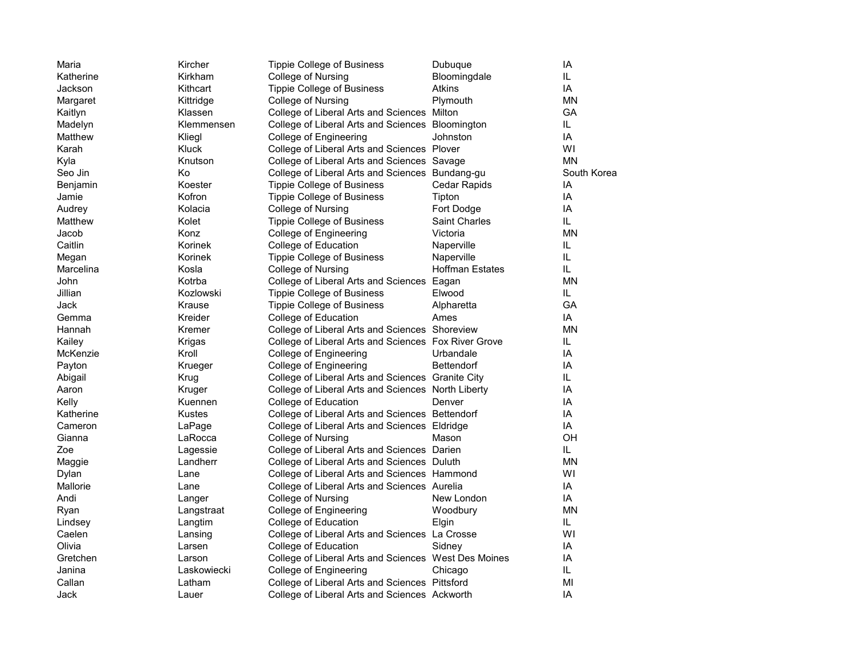| Maria     | Kircher     | <b>Tippie College of Business</b>                    | Dubuque                | IA          |
|-----------|-------------|------------------------------------------------------|------------------------|-------------|
| Katherine | Kirkham     | College of Nursing                                   | Bloomingdale           | IL          |
| Jackson   | Kithcart    | Tippie College of Business                           | Atkins                 | IA          |
| Margaret  | Kittridge   | College of Nursing                                   | Plymouth               | <b>MN</b>   |
| Kaitlyn   | Klassen     | College of Liberal Arts and Sciences Milton          |                        | GА          |
| Madelyn   | Klemmensen  | College of Liberal Arts and Sciences Bloomington     |                        | IL.         |
| Matthew   | Kliegl      | College of Engineering                               | Johnston               | IA          |
| Karah     | Kluck       | College of Liberal Arts and Sciences Plover          |                        | WI          |
| Kyla      | Knutson     | College of Liberal Arts and Sciences Savage          |                        | <b>MN</b>   |
| Seo Jin   | Ko          | College of Liberal Arts and Sciences Bundang-gu      |                        | South Korea |
| Benjamin  | Koester     | <b>Tippie College of Business</b>                    | Cedar Rapids           | IA          |
| Jamie     | Kofron      | <b>Tippie College of Business</b>                    | Tipton                 | IA          |
| Audrey    | Kolacia     | College of Nursing                                   | Fort Dodge             | IA          |
| Matthew   | Kolet       | <b>Tippie College of Business</b>                    | <b>Saint Charles</b>   | IL          |
| Jacob     | Konz        | College of Engineering                               | Victoria               | MΝ          |
| Caitlin   | Korinek     | College of Education                                 | Naperville             | IL          |
| Megan     | Korinek     | <b>Tippie College of Business</b>                    | Naperville             | IL          |
| Marcelina | Kosla       | College of Nursing                                   | <b>Hoffman Estates</b> | IL.         |
| John      | Kotrba      | College of Liberal Arts and Sciences Eagan           |                        | <b>MN</b>   |
| Jillian   | Kozlowski   | <b>Tippie College of Business</b>                    | Elwood                 | IL.         |
| Jack      | Krause      | <b>Tippie College of Business</b>                    | Alpharetta             | GA          |
| Gemma     | Kreider     | College of Education                                 | Ames                   | IA          |
| Hannah    | Kremer      | College of Liberal Arts and Sciences Shoreview       |                        | MΝ          |
| Kailey    | Krigas      | College of Liberal Arts and Sciences Fox River Grove |                        | IL          |
| McKenzie  | Kroll       | College of Engineering                               | Urbandale              | IA          |
| Payton    | Krueger     | College of Engineering                               | <b>Bettendorf</b>      | IA          |
| Abigail   | Krug        | College of Liberal Arts and Sciences Granite City    |                        | IL          |
| Aaron     | Kruger      | College of Liberal Arts and Sciences North Liberty   |                        | IA          |
| Kelly     | Kuennen     | College of Education                                 | Denver                 | IA          |
| Katherine | Kustes      | College of Liberal Arts and Sciences Bettendorf      |                        | IA          |
| Cameron   | LaPage      | College of Liberal Arts and Sciences Eldridge        |                        | IA          |
| Gianna    | LaRocca     | College of Nursing                                   | Mason                  | OH          |
| Zoe       | Lagessie    | College of Liberal Arts and Sciences Darien          |                        | IL.         |
| Maggie    | Landherr    | College of Liberal Arts and Sciences Duluth          |                        | <b>MN</b>   |
| Dylan     | Lane        | College of Liberal Arts and Sciences Hammond         |                        | WI          |
| Mallorie  | Lane        | College of Liberal Arts and Sciences Aurelia         |                        | IA          |
| Andi      | Langer      | College of Nursing                                   | New London             | IA          |
| Ryan      | Langstraat  | College of Engineering                               | Woodbury               | MN          |
| Lindsey   | Langtim     | College of Education                                 | Elgin                  | IL.         |
| Caelen    | Lansing     | College of Liberal Arts and Sciences La Crosse       |                        | WI          |
| Olivia    | Larsen      | College of Education                                 | Sidney                 | IA          |
| Gretchen  | Larson      | College of Liberal Arts and Sciences West Des Moines |                        | IA          |
| Janina    | Laskowiecki | College of Engineering                               | Chicago                | IL.         |
| Callan    | Latham      | College of Liberal Arts and Sciences Pittsford       |                        | MI          |
| Jack      | Lauer       | College of Liberal Arts and Sciences Ackworth        |                        | IA          |
|           |             |                                                      |                        |             |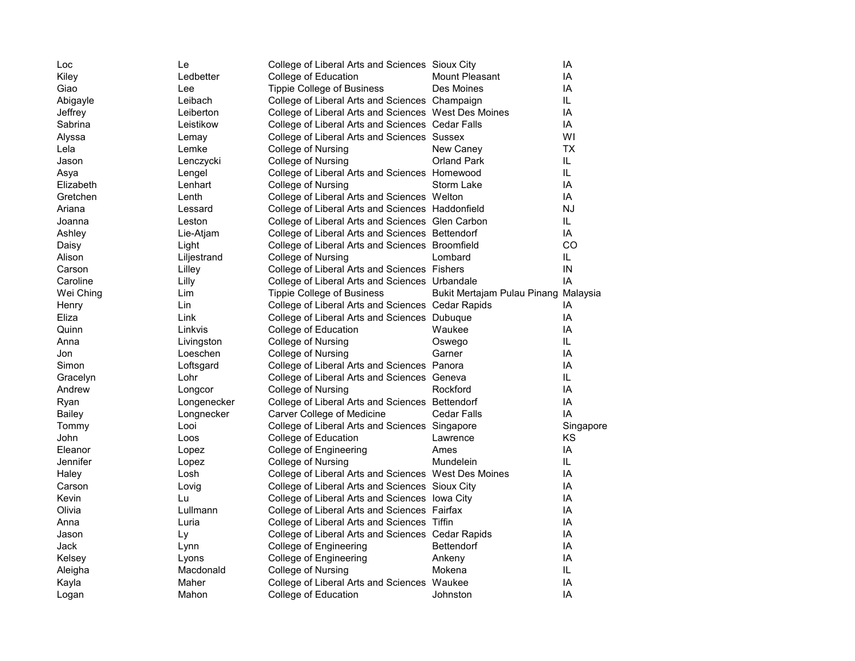| Loc       | Le          | College of Liberal Arts and Sciences Sioux City      |                                      | IA        |
|-----------|-------------|------------------------------------------------------|--------------------------------------|-----------|
| Kiley     | Ledbetter   | College of Education                                 | Mount Pleasant                       | IA        |
| Giao      | Lee         | <b>Tippie College of Business</b>                    | Des Moines                           | IA        |
| Abigayle  | Leibach     | College of Liberal Arts and Sciences Champaign       |                                      | IL.       |
| Jeffrey   | Leiberton   | College of Liberal Arts and Sciences West Des Moines |                                      | IA        |
| Sabrina   | Leistikow   | College of Liberal Arts and Sciences Cedar Falls     |                                      | IA        |
| Alyssa    | Lemay       | College of Liberal Arts and Sciences Sussex          |                                      | WI        |
| Lela      | Lemke       | College of Nursing                                   | New Caney                            | TX        |
| Jason     | Lenczycki   | College of Nursing                                   | <b>Orland Park</b>                   | IL.       |
| Asya      | Lengel      | College of Liberal Arts and Sciences Homewood        |                                      | IL.       |
| Elizabeth | Lenhart     | College of Nursing                                   | Storm Lake                           | IA        |
| Gretchen  | Lenth       | College of Liberal Arts and Sciences Welton          |                                      | IA        |
| Ariana    | Lessard     | College of Liberal Arts and Sciences Haddonfield     |                                      | NJ        |
| Joanna    | Leston      | College of Liberal Arts and Sciences Glen Carbon     |                                      | IL        |
| Ashley    | Lie-Atjam   | College of Liberal Arts and Sciences Bettendorf      |                                      | IA        |
| Daisy     | Light       | College of Liberal Arts and Sciences Broomfield      |                                      | CO        |
| Alison    | Liljestrand | College of Nursing                                   | Lombard                              | IL        |
| Carson    | Lilley      | College of Liberal Arts and Sciences Fishers         |                                      | IN        |
| Caroline  | Lilly       | College of Liberal Arts and Sciences Urbandale       |                                      | IA        |
| Wei Ching | Lim         | <b>Tippie College of Business</b>                    | Bukit Mertajam Pulau Pinang Malaysia |           |
| Henry     | Lin         | College of Liberal Arts and Sciences Cedar Rapids    |                                      | ΙA        |
| Eliza     | Link        | College of Liberal Arts and Sciences Dubuque         |                                      | IA        |
| Quinn     | Linkvis     | College of Education                                 | Waukee                               | IA        |
| Anna      | Livingston  | College of Nursing                                   | Oswego                               | IL.       |
| Jon       | Loeschen    | College of Nursing                                   | Garner                               | IA        |
| Simon     | Loftsgard   | College of Liberal Arts and Sciences Panora          |                                      | IA        |
| Gracelyn  | Lohr        | College of Liberal Arts and Sciences Geneva          |                                      | IL.       |
| Andrew    | Longcor     | College of Nursing                                   | Rockford                             | IA        |
| Ryan      | Longenecker | College of Liberal Arts and Sciences Bettendorf      |                                      | IA        |
| Bailey    | Longnecker  | Carver College of Medicine                           | <b>Cedar Falls</b>                   | IA        |
| Tommy     | Looi        | College of Liberal Arts and Sciences Singapore       |                                      | Singapore |
| John      | Loos        | College of Education                                 | Lawrence                             | ΚS        |
| Eleanor   | Lopez       | College of Engineering                               | Ames                                 | IA        |
| Jennifer  | Lopez       | College of Nursing                                   | Mundelein                            | IL        |
| Haley     | Losh        | College of Liberal Arts and Sciences West Des Moines |                                      | IA        |
| Carson    | Lovig       | College of Liberal Arts and Sciences Sioux City      |                                      | IA        |
| Kevin     | Lu          | College of Liberal Arts and Sciences lowa City       |                                      | IA        |
| Olivia    | Lullmann    | College of Liberal Arts and Sciences Fairfax         |                                      | IA        |
| Anna      | Luria       | College of Liberal Arts and Sciences Tiffin          |                                      | IA        |
| Jason     | Ly          | College of Liberal Arts and Sciences Cedar Rapids    |                                      | IA        |
| Jack      | Lynn        | College of Engineering                               | <b>Bettendorf</b>                    | IA        |
| Kelsey    | Lyons       | College of Engineering                               | Ankeny                               | IA        |
| Aleigha   | Macdonald   | College of Nursing                                   | Mokena                               | IL        |
| Kayla     | Maher       | College of Liberal Arts and Sciences Waukee          |                                      | IA        |
| Logan     | Mahon       | College of Education                                 | Johnston                             | IA        |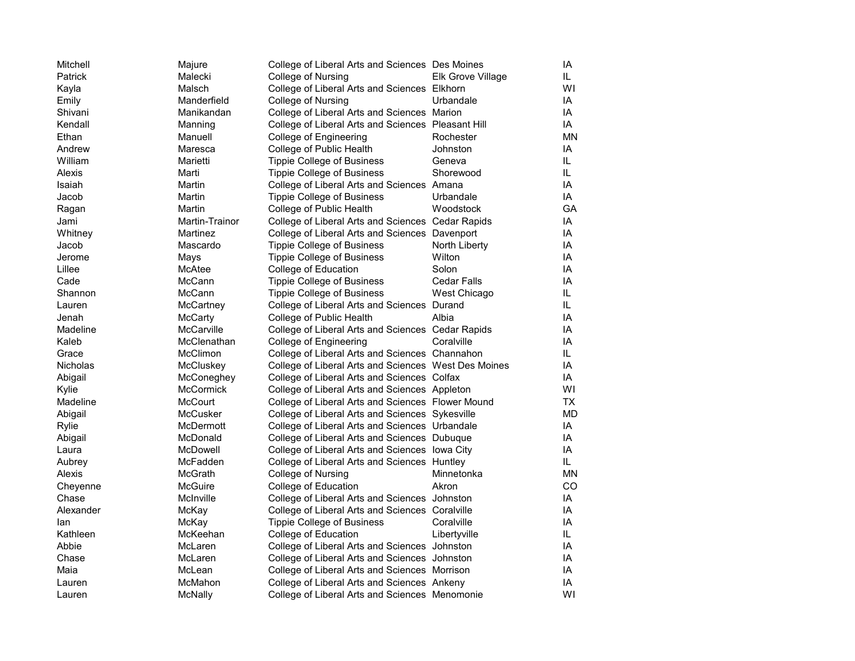| Mitchell        | Majure            | College of Liberal Arts and Sciences Des Moines      |                    | IA        |
|-----------------|-------------------|------------------------------------------------------|--------------------|-----------|
| Patrick         | Malecki           | College of Nursing                                   | Elk Grove Village  | IL.       |
| Kayla           | Malsch            | College of Liberal Arts and Sciences Elkhorn         |                    | WI        |
| Emily           | Manderfield       | College of Nursing                                   | Urbandale          | IA        |
| Shivani         | Manikandan        | College of Liberal Arts and Sciences Marion          |                    | IA        |
| Kendall         | Manning           | College of Liberal Arts and Sciences Pleasant Hill   |                    | IA        |
| Ethan           | Manuell           | College of Engineering                               | Rochester          | <b>MN</b> |
| Andrew          | Maresca           | College of Public Health                             | Johnston           | IA        |
| William         | Marietti          | <b>Tippie College of Business</b>                    | Geneva             | IL.       |
| Alexis          | Marti             | Tippie College of Business                           | Shorewood          | IL.       |
| Isaiah          | Martin            | College of Liberal Arts and Sciences Amana           |                    | IA        |
| Jacob           | Martin            | <b>Tippie College of Business</b>                    | Urbandale          | IA        |
| Ragan           | Martin            | College of Public Health                             | Woodstock          | GA        |
| Jami            | Martin-Trainor    | College of Liberal Arts and Sciences Cedar Rapids    |                    | IA        |
| Whitney         | Martinez          | College of Liberal Arts and Sciences Davenport       |                    | IA        |
| Jacob           | Mascardo          | <b>Tippie College of Business</b>                    | North Liberty      | IA        |
| Jerome          | Mays              | Tippie College of Business                           | Wilton             | IA        |
| Lillee          | McAtee            | College of Education                                 | Solon              | IA        |
| Cade            | <b>McCann</b>     | <b>Tippie College of Business</b>                    | <b>Cedar Falls</b> | IA        |
| Shannon         | McCann            | <b>Tippie College of Business</b>                    | West Chicago       | IL.       |
| Lauren          | McCartney         | College of Liberal Arts and Sciences Durand          |                    | IL.       |
| Jenah           | <b>McCarty</b>    | College of Public Health                             | Albia              | IA        |
| Madeline        | <b>McCarville</b> | College of Liberal Arts and Sciences Cedar Rapids    |                    | IA        |
| Kaleb           | McClenathan       | College of Engineering                               | Coralville         | IA        |
| Grace           | McClimon          | College of Liberal Arts and Sciences Channahon       |                    | IL.       |
| <b>Nicholas</b> | McCluskey         | College of Liberal Arts and Sciences West Des Moines |                    | IA        |
| Abigail         | McConeghey        | College of Liberal Arts and Sciences Colfax          |                    | IA        |
| Kylie           | <b>McCormick</b>  | College of Liberal Arts and Sciences Appleton        |                    | WI        |
| Madeline        | McCourt           | College of Liberal Arts and Sciences Flower Mound    |                    | <b>TX</b> |
| Abigail         | <b>McCusker</b>   | College of Liberal Arts and Sciences Sykesville      |                    | MD        |
| Rylie           | McDermott         | College of Liberal Arts and Sciences Urbandale       |                    | IA        |
| Abigail         | McDonald          | College of Liberal Arts and Sciences Dubuque         |                    | IA        |
| Laura           | <b>McDowell</b>   | College of Liberal Arts and Sciences lowa City       |                    | IA        |
| Aubrey          | McFadden          | College of Liberal Arts and Sciences Huntley         |                    | IL.       |
| Alexis          | McGrath           | College of Nursing                                   | Minnetonka         | ΜN        |
| Cheyenne        | McGuire           | College of Education                                 | Akron              | CO        |
| Chase           | McInville         | College of Liberal Arts and Sciences Johnston        |                    | IA        |
| Alexander       | McKay             | College of Liberal Arts and Sciences Coralville      |                    | IA        |
| lan             | McKay             | <b>Tippie College of Business</b>                    | Coralville         | IA        |
| Kathleen        | McKeehan          | College of Education                                 | Libertyville       | IL.       |
| Abbie           | McLaren           | College of Liberal Arts and Sciences Johnston        |                    | IA        |
| Chase           | McLaren           | College of Liberal Arts and Sciences Johnston        |                    | IA        |
| Maia            | McLean            | College of Liberal Arts and Sciences Morrison        |                    | IA        |
| Lauren          | McMahon           | College of Liberal Arts and Sciences Ankeny          |                    | IA        |
| Lauren          | McNally           | College of Liberal Arts and Sciences Menomonie       |                    | WI        |
|                 |                   |                                                      |                    |           |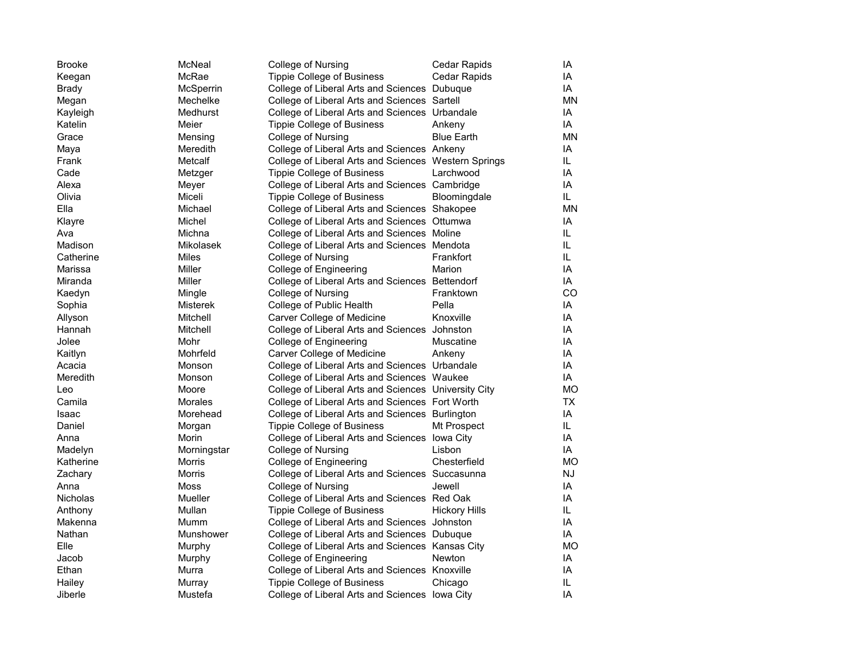| <b>Brooke</b>   | McNeal          | College of Nursing                                   | Cedar Rapids         | ΙA  |
|-----------------|-----------------|------------------------------------------------------|----------------------|-----|
| Keegan          | McRae           | <b>Tippie College of Business</b>                    | <b>Cedar Rapids</b>  | ΙA  |
| Brady           | McSperrin       | College of Liberal Arts and Sciences Dubuque         |                      | IA  |
| Megan           | Mechelke        | College of Liberal Arts and Sciences Sartell         |                      | MΝ  |
| Kayleigh        | Medhurst        | College of Liberal Arts and Sciences Urbandale       |                      | IA  |
| Katelin         | Meier           | <b>Tippie College of Business</b>                    | Ankeny               | IA  |
| Grace           | Mensing         | College of Nursing                                   | <b>Blue Earth</b>    | MΝ  |
| Maya            | Meredith        | College of Liberal Arts and Sciences Ankeny          |                      | IA  |
| Frank           | Metcalf         | College of Liberal Arts and Sciences Western Springs |                      | IL. |
| Cade            | Metzger         | Tippie College of Business                           | Larchwood            | ΙA  |
| Alexa           | Meyer           | College of Liberal Arts and Sciences Cambridge       |                      | ΙA  |
| Olivia          | Miceli          | <b>Tippie College of Business</b>                    | Bloomingdale         | IL. |
| Ella            | Michael         | College of Liberal Arts and Sciences Shakopee        |                      | MΝ  |
| Klayre          | Michel          | College of Liberal Arts and Sciences Ottumwa         |                      | ΙA  |
| Ava             | Michna          | College of Liberal Arts and Sciences Moline          |                      | IL  |
| Madison         | Mikolasek       | College of Liberal Arts and Sciences Mendota         |                      | IL  |
| Catherine       | Miles           | College of Nursing                                   | Frankfort            | IL. |
| Marissa         | Miller          | College of Engineering                               | Marion               | IA  |
| Miranda         | Miller          | College of Liberal Arts and Sciences Bettendorf      |                      | IA  |
| Kaedyn          | Mingle          | College of Nursing                                   | Franktown            | CO  |
| Sophia          | <b>Misterek</b> | College of Public Health                             | Pella                | ΙA  |
| Allyson         | Mitchell        | Carver College of Medicine                           | Knoxville            | ΙA  |
| Hannah          | Mitchell        | College of Liberal Arts and Sciences Johnston        |                      | IA  |
| Jolee           | Mohr            | College of Engineering                               | Muscatine            | ΙA  |
| Kaitlyn         | Mohrfeld        | Carver College of Medicine                           | Ankeny               | ΙA  |
| Acacia          | Monson          | College of Liberal Arts and Sciences Urbandale       |                      | ΙA  |
| Meredith        | Monson          | College of Liberal Arts and Sciences Waukee          |                      | ΙA  |
| Leo             | Moore           | College of Liberal Arts and Sciences University City |                      | МO  |
| Camila          | Morales         | College of Liberal Arts and Sciences Fort Worth      |                      | TX  |
| Isaac           | Morehead        | College of Liberal Arts and Sciences Burlington      |                      | ΙA  |
| Daniel          | Morgan          | <b>Tippie College of Business</b>                    | Mt Prospect          | IL. |
| Anna            | Morin           | College of Liberal Arts and Sciences lowa City       |                      | ΙA  |
| Madelyn         | Morningstar     | College of Nursing                                   | Lisbon               | IA  |
| Katherine       | Morris          | College of Engineering                               | Chesterfield         | МO  |
| Zachary         | Morris          | College of Liberal Arts and Sciences Succasunna      |                      | NJ  |
| Anna            | Moss            | College of Nursing                                   | Jewell               | ΙA  |
| <b>Nicholas</b> | Mueller         | College of Liberal Arts and Sciences Red Oak         |                      | ΙA  |
| Anthony         | Mullan          | Tippie College of Business                           | <b>Hickory Hills</b> | IL  |
| Makenna         | Mumm            | College of Liberal Arts and Sciences Johnston        |                      | ΙA  |
| Nathan          | Munshower       | College of Liberal Arts and Sciences Dubuque         |                      | IA  |
| Elle            | Murphy          | College of Liberal Arts and Sciences Kansas City     |                      | МO  |
| Jacob           | Murphy          | College of Engineering                               | Newton               | ΙA  |
| Ethan           | Murra           | College of Liberal Arts and Sciences Knoxville       |                      | IA  |
| Hailey          | Murray          | Tippie College of Business                           | Chicago              | IL  |
| Jiberle         | Mustefa         | College of Liberal Arts and Sciences lowa City       |                      | IA  |
|                 |                 |                                                      |                      |     |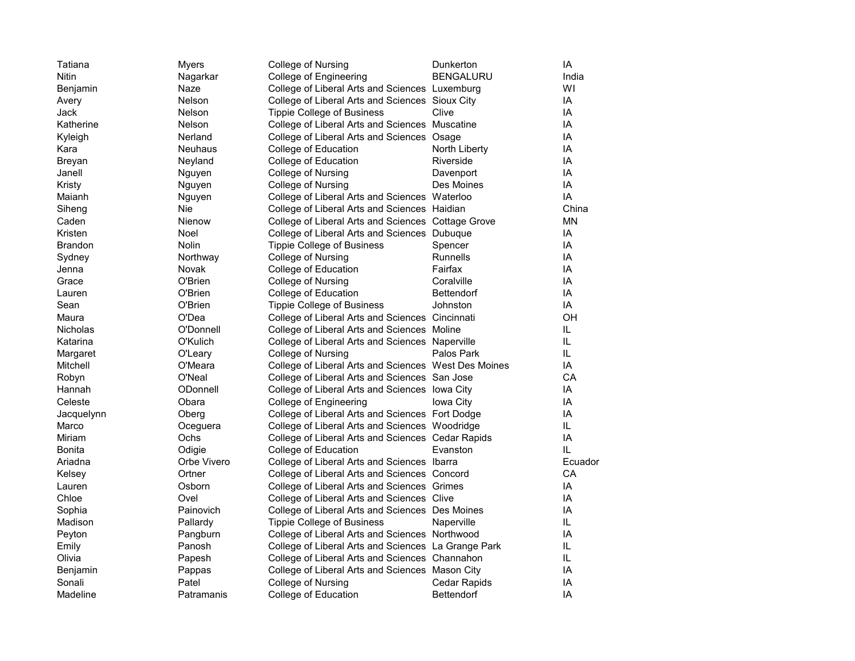| Tatiana         | <b>Myers</b>   | College of Nursing                                   | Dunkerton         | IA        |
|-----------------|----------------|------------------------------------------------------|-------------------|-----------|
| Nitin           | Nagarkar       | College of Engineering                               | <b>BENGALURU</b>  | India     |
| Benjamin        | Naze           | College of Liberal Arts and Sciences Luxemburg       |                   | WI        |
| Avery           | Nelson         | College of Liberal Arts and Sciences Sioux City      |                   | IA        |
| Jack            | <b>Nelson</b>  | <b>Tippie College of Business</b>                    | Clive             | IA        |
| Katherine       | <b>Nelson</b>  | College of Liberal Arts and Sciences Muscatine       |                   | IA        |
| Kyleigh         | Nerland        | College of Liberal Arts and Sciences Osage           |                   | IA        |
| Kara            | <b>Neuhaus</b> | College of Education                                 | North Liberty     | IA        |
| Breyan          | Neyland        | College of Education                                 | Riverside         | IA        |
| Janell          | Nguyen         | College of Nursing                                   | Davenport         | IA        |
| Kristy          | Nguyen         | College of Nursing                                   | Des Moines        | IA        |
| Maianh          | Nguyen         | College of Liberal Arts and Sciences Waterloo        |                   | IA        |
| Siheng          | Nie            | College of Liberal Arts and Sciences Haidian         |                   | China     |
| Caden           | Nienow         | College of Liberal Arts and Sciences Cottage Grove   |                   | <b>MN</b> |
| Kristen         | Noel           | College of Liberal Arts and Sciences Dubuque         |                   | IA        |
| Brandon         | Nolin          | <b>Tippie College of Business</b>                    | Spencer           | IA        |
| Sydney          | Northway       | College of Nursing                                   | Runnells          | IA        |
| Jenna           | Novak          | College of Education                                 | Fairfax           | IA        |
| Grace           | O'Brien        | College of Nursing                                   | Coralville        | IA        |
| Lauren          | O'Brien        | College of Education                                 | <b>Bettendorf</b> | IA        |
| Sean            | O'Brien        | <b>Tippie College of Business</b>                    | Johnston          | IA        |
| Maura           | O'Dea          | College of Liberal Arts and Sciences Cincinnati      |                   | OH        |
| <b>Nicholas</b> | O'Donnell      | College of Liberal Arts and Sciences Moline          |                   | IL.       |
| Katarina        | O'Kulich       | College of Liberal Arts and Sciences Naperville      |                   | IL.       |
| Margaret        | O'Leary        | College of Nursing                                   | Palos Park        | IL.       |
| Mitchell        | O'Meara        | College of Liberal Arts and Sciences West Des Moines |                   | IA        |
| Robyn           | O'Neal         | College of Liberal Arts and Sciences San Jose        |                   | CA        |
| Hannah          | ODonnell       | College of Liberal Arts and Sciences lowa City       |                   | IA        |
| Celeste         | Obara          | College of Engineering                               | Iowa City         | IA        |
| Jacquelynn      | Oberg          | College of Liberal Arts and Sciences Fort Dodge      |                   | IA        |
| Marco           | Oceguera       | College of Liberal Arts and Sciences Woodridge       |                   | IL        |
| Miriam          | Ochs           | College of Liberal Arts and Sciences Cedar Rapids    |                   | IA        |
| Bonita          | Odigie         | College of Education                                 | Evanston          | IL.       |
| Ariadna         | Orbe Vivero    | College of Liberal Arts and Sciences Ibarra          |                   | Ecuador   |
| Kelsey          | Ortner         | College of Liberal Arts and Sciences Concord         |                   | CA        |
| Lauren          | Osborn         | College of Liberal Arts and Sciences Grimes          |                   | IA        |
| Chloe           | Ovel           | College of Liberal Arts and Sciences Clive           |                   | IA        |
| Sophia          | Painovich      | College of Liberal Arts and Sciences Des Moines      |                   | IA        |
| Madison         | Pallardy       | <b>Tippie College of Business</b>                    | Naperville        | IL        |
| Peyton          | Pangburn       | College of Liberal Arts and Sciences Northwood       |                   | IA        |
| Emily           | Panosh         | College of Liberal Arts and Sciences La Grange Park  |                   | IL        |
| Olivia          | Papesh         | College of Liberal Arts and Sciences Channahon       |                   | IL        |
| Benjamin        | Pappas         | College of Liberal Arts and Sciences Mason City      |                   | IA        |
| Sonali          | Patel          | College of Nursing                                   | Cedar Rapids      | IA        |
| Madeline        | Patramanis     | College of Education                                 | <b>Bettendorf</b> | IA        |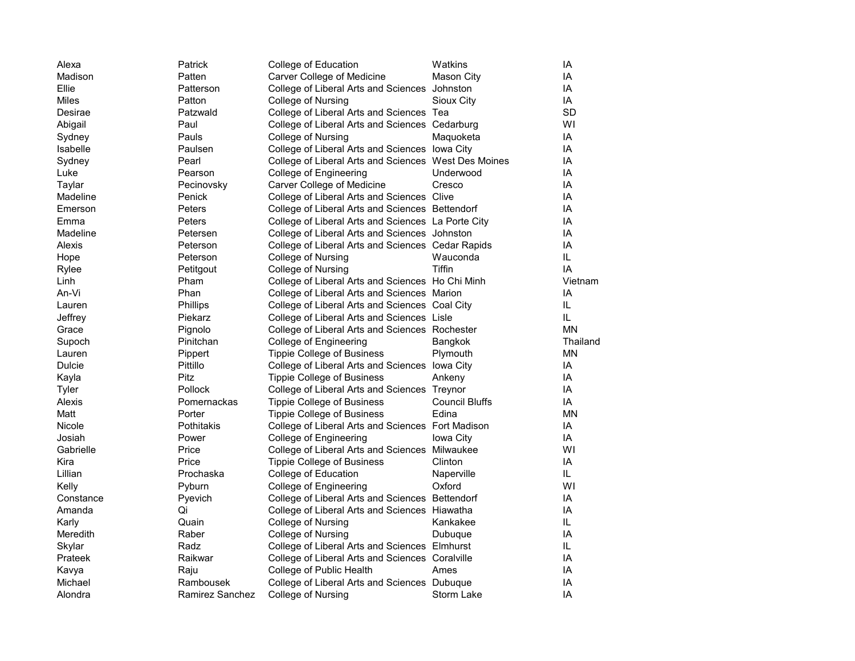| Alexa         | Patrick         | College of Education                                 | Watkins               | IA        |
|---------------|-----------------|------------------------------------------------------|-----------------------|-----------|
| Madison       | Patten          | Carver College of Medicine                           | <b>Mason City</b>     | IA        |
| Ellie         | Patterson       | College of Liberal Arts and Sciences Johnston        |                       | IA        |
| Miles         | Patton          | College of Nursing                                   | Sioux City            | IA        |
| Desirae       | Patzwald        | College of Liberal Arts and Sciences Tea             |                       | SD        |
| Abigail       | Paul            | College of Liberal Arts and Sciences Cedarburg       |                       | WI        |
| Sydney        | Pauls           | College of Nursing                                   | Maquoketa             | IA        |
| Isabelle      | Paulsen         | College of Liberal Arts and Sciences lowa City       |                       | IA        |
| Sydney        | Pearl           | College of Liberal Arts and Sciences West Des Moines |                       | IA        |
| Luke          | Pearson         | College of Engineering                               | Underwood             | IA        |
| Taylar        | Pecinovsky      | Carver College of Medicine                           | Cresco                | IA        |
| Madeline      | Penick          | College of Liberal Arts and Sciences Clive           |                       | IA        |
| Emerson       | Peters          | College of Liberal Arts and Sciences Bettendorf      |                       | IA        |
| Emma          | Peters          | College of Liberal Arts and Sciences La Porte City   |                       | IA        |
| Madeline      | Petersen        | College of Liberal Arts and Sciences Johnston        |                       | IA        |
| Alexis        | Peterson        | College of Liberal Arts and Sciences Cedar Rapids    |                       | IA        |
| Hope          | Peterson        | College of Nursing                                   | Wauconda              | IL        |
| Rylee         | Petitgout       | College of Nursing                                   | <b>Tiffin</b>         | IA        |
| Linh          | Pham            | College of Liberal Arts and Sciences Ho Chi Minh     |                       | Vietnam   |
| An-Vi         | Phan            | College of Liberal Arts and Sciences Marion          |                       | IA        |
| Lauren        | Phillips        | College of Liberal Arts and Sciences Coal City       |                       | IL        |
| Jeffrey       | Piekarz         | College of Liberal Arts and Sciences Lisle           |                       | IL        |
| Grace         | Pignolo         | College of Liberal Arts and Sciences Rochester       |                       | <b>MN</b> |
| Supoch        | Pinitchan       | College of Engineering                               | Bangkok               | Thailand  |
| Lauren        | Pippert         | <b>Tippie College of Business</b>                    | Plymouth              | <b>MN</b> |
| <b>Dulcie</b> | Pittillo        | College of Liberal Arts and Sciences lowa City       |                       | IA        |
| Kayla         | <b>Pitz</b>     | <b>Tippie College of Business</b>                    | Ankeny                | IA        |
| Tyler         | Pollock         | College of Liberal Arts and Sciences Treynor         |                       | IA        |
| Alexis        | Pomernackas     | <b>Tippie College of Business</b>                    | <b>Council Bluffs</b> | IA        |
| Matt          | Porter          | <b>Tippie College of Business</b>                    | Edina                 | <b>MN</b> |
| Nicole        | Pothitakis      | College of Liberal Arts and Sciences Fort Madison    |                       | IA        |
| Josiah        | Power           | College of Engineering                               | Iowa City             | IA        |
| Gabrielle     | Price           | College of Liberal Arts and Sciences Milwaukee       |                       | WI        |
| Kira          | Price           | <b>Tippie College of Business</b>                    | Clinton               | IA        |
| Lillian       | Prochaska       | College of Education                                 | Naperville            | IL.       |
| Kelly         | Pyburn          | College of Engineering                               | Oxford                | WI        |
| Constance     | Pyevich         | College of Liberal Arts and Sciences Bettendorf      |                       | IA        |
| Amanda        | Qi              | College of Liberal Arts and Sciences Hiawatha        |                       | IA        |
| Karly         | Quain           | College of Nursing                                   | Kankakee              | IL        |
| Meredith      | Raber           | College of Nursing                                   | Dubuque               | IA        |
| Skylar        | Radz            | College of Liberal Arts and Sciences Elmhurst        |                       | IL.       |
| Prateek       | Raikwar         | College of Liberal Arts and Sciences Coralville      |                       | IA        |
| Kavya         | Raju            | College of Public Health                             | Ames                  | IA        |
| Michael       | Rambousek       | College of Liberal Arts and Sciences Dubuque         |                       | IA        |
| Alondra       | Ramirez Sanchez | College of Nursing                                   | Storm Lake            | IA        |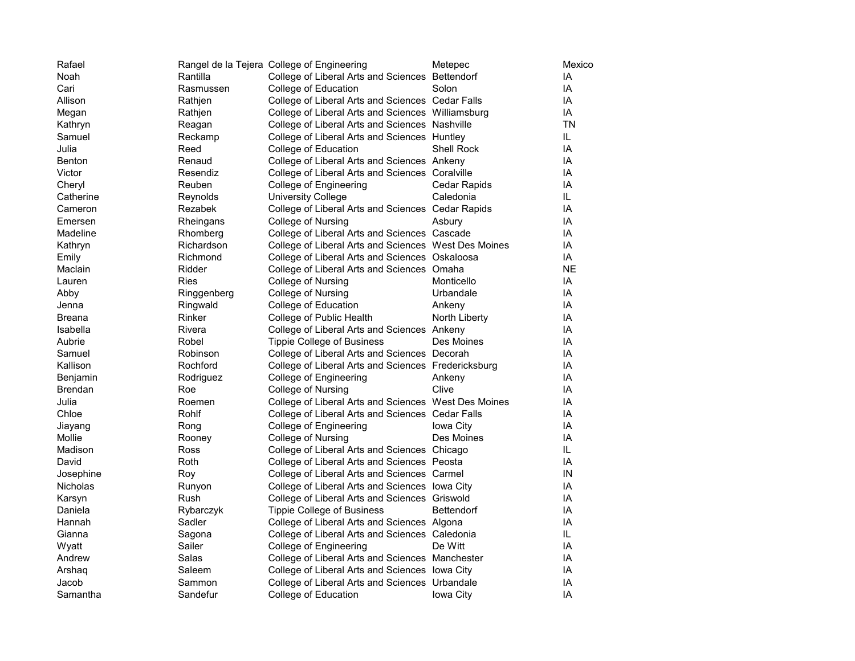| Rafael            |             | Rangel de la Tejera College of Engineering           | Metepec           | Mexico    |
|-------------------|-------------|------------------------------------------------------|-------------------|-----------|
| Noah              | Rantilla    | College of Liberal Arts and Sciences Bettendorf      |                   | IA        |
| Cari              | Rasmussen   | College of Education                                 | Solon             | IA        |
| Allison           | Rathjen     | College of Liberal Arts and Sciences Cedar Falls     |                   | IA        |
| Megan             | Rathjen     | College of Liberal Arts and Sciences Williamsburg    |                   | IA        |
| Kathryn           | Reagan      | College of Liberal Arts and Sciences Nashville       |                   | <b>TN</b> |
| Samuel            | Reckamp     | College of Liberal Arts and Sciences Huntley         |                   | IL.       |
| Julia             | Reed        | College of Education                                 | Shell Rock        | IA        |
| <b>Benton</b>     | Renaud      | College of Liberal Arts and Sciences Ankeny          |                   | IA        |
|                   |             |                                                      |                   | IA        |
| Victor            | Resendiz    | College of Liberal Arts and Sciences Coralville      |                   |           |
| Cheryl            | Reuben      | College of Engineering                               | Cedar Rapids      | IA        |
| Catherine         | Reynolds    | <b>University College</b>                            | Caledonia         | IL        |
| Cameron           | Rezabek     | College of Liberal Arts and Sciences Cedar Rapids    |                   | IA        |
| Emersen           | Rheingans   | College of Nursing                                   | Asbury            | IA        |
| Madeline          | Rhomberg    | College of Liberal Arts and Sciences Cascade         |                   | IA        |
| Kathryn           | Richardson  | College of Liberal Arts and Sciences West Des Moines |                   | IA        |
| Emily             | Richmond    | College of Liberal Arts and Sciences Oskaloosa       |                   | IA        |
| Maclain           | Ridder      | College of Liberal Arts and Sciences Omaha           |                   | <b>NE</b> |
| Lauren            | Ries        | College of Nursing                                   | Monticello        | IA        |
| Abby              | Ringgenberg | College of Nursing                                   | Urbandale         | IA        |
| Jenna             | Ringwald    | College of Education                                 | Ankeny            | IA        |
| Breana            | Rinker      | College of Public Health                             | North Liberty     | IA        |
| Isabella          | Rivera      | College of Liberal Arts and Sciences Ankeny          |                   | IA        |
| Aubrie            | Robel       | Tippie College of Business                           | Des Moines        | IA        |
| Samuel            | Robinson    | College of Liberal Arts and Sciences Decorah         |                   | IA        |
| Kallison          | Rochford    | College of Liberal Arts and Sciences Fredericksburg  |                   | IA        |
| Benjamin          | Rodriguez   | College of Engineering                               | Ankeny            | IA        |
| <b>Brendan</b>    | Roe         | College of Nursing                                   | Clive             | IA        |
| Julia             | Roemen      | College of Liberal Arts and Sciences West Des Moines |                   | IA        |
| Chloe             | Rohlf       | College of Liberal Arts and Sciences Cedar Falls     |                   | IA        |
| Jiayang           | Rong        | College of Engineering                               | Iowa City         | IA        |
| Mollie            | Rooney      | College of Nursing                                   | Des Moines        | IA        |
| Madison           | Ross        | College of Liberal Arts and Sciences Chicago         |                   | IL        |
| David             | Roth        | College of Liberal Arts and Sciences Peosta          |                   | IA        |
| Josephine         | Roy         | College of Liberal Arts and Sciences Carmel          |                   | IN        |
| Nicholas          | Runyon      | College of Liberal Arts and Sciences lowa City       |                   | IA        |
|                   | Rush        | College of Liberal Arts and Sciences Griswold        |                   | IA        |
| Karsyn<br>Daniela |             |                                                      | <b>Bettendorf</b> | IA        |
|                   | Rybarczyk   | <b>Tippie College of Business</b>                    |                   | IA        |
| Hannah            | Sadler      | College of Liberal Arts and Sciences Algona          |                   |           |
| Gianna            | Sagona      | College of Liberal Arts and Sciences Caledonia       |                   | IL.       |
| Wyatt             | Sailer      | College of Engineering                               | De Witt           | IA        |
| Andrew            | Salas       | College of Liberal Arts and Sciences Manchester      |                   | IA        |
| Arshag            | Saleem      | College of Liberal Arts and Sciences lowa City       |                   | IA        |
| Jacob             | Sammon      | College of Liberal Arts and Sciences Urbandale       |                   | ΙA        |
| Samantha          | Sandefur    | College of Education                                 | Iowa City         | IA        |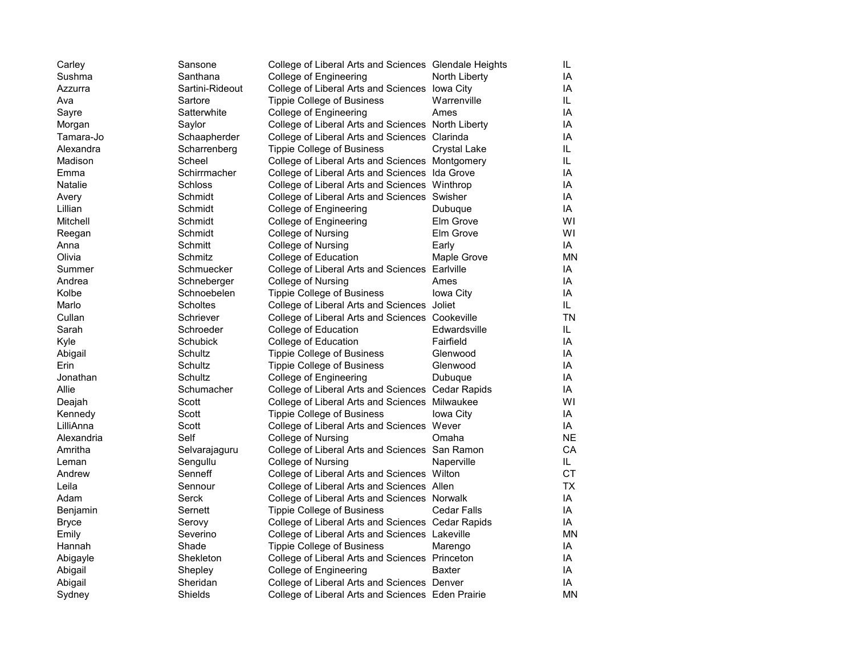| Carley     | Sansone         | College of Liberal Arts and Sciences Glendale Heights |                    | IL.       |
|------------|-----------------|-------------------------------------------------------|--------------------|-----------|
| Sushma     | Santhana        | College of Engineering                                | North Liberty      | IA        |
| Azzurra    | Sartini-Rideout | College of Liberal Arts and Sciences lowa City        |                    | IA        |
| Ava        | Sartore         | <b>Tippie College of Business</b>                     | Warrenville        | IL.       |
| Sayre      | Satterwhite     | College of Engineering                                | Ames               | IA        |
| Morgan     | Saylor          | College of Liberal Arts and Sciences North Liberty    |                    | IA        |
| Tamara-Jo  | Schaapherder    | College of Liberal Arts and Sciences Clarinda         |                    | IA        |
| Alexandra  | Scharrenberg    | <b>Tippie College of Business</b>                     | Crystal Lake       | IL.       |
| Madison    | Scheel          | College of Liberal Arts and Sciences Montgomery       |                    | IL.       |
| Emma       | Schirrmacher    | College of Liberal Arts and Sciences Ida Grove        |                    | IA        |
| Natalie    | Schloss         | College of Liberal Arts and Sciences Winthrop         |                    | IA        |
| Avery      | Schmidt         | College of Liberal Arts and Sciences Swisher          |                    | IA        |
| Lillian    | Schmidt         | College of Engineering                                | Dubuque            | IA        |
| Mitchell   | Schmidt         | College of Engineering                                | Elm Grove          | WI        |
| Reegan     | Schmidt         | College of Nursing                                    | Elm Grove          | WI        |
| Anna       | Schmitt         | College of Nursing                                    | Early              | IA        |
| Olivia     | Schmitz         | College of Education                                  | Maple Grove        | <b>MN</b> |
| Summer     | Schmuecker      | College of Liberal Arts and Sciences Earlville        |                    | IA        |
| Andrea     | Schneberger     | College of Nursing                                    | Ames               | IA        |
| Kolbe      | Schnoebelen     | <b>Tippie College of Business</b>                     | Iowa City          | IA        |
| Marlo      | Scholtes        | College of Liberal Arts and Sciences Joliet           |                    | IL.       |
| Cullan     | Schriever       | College of Liberal Arts and Sciences Cookeville       |                    | <b>TN</b> |
| Sarah      | Schroeder       | College of Education                                  | Edwardsville       | IL.       |
| Kyle       | Schubick        | College of Education                                  | Fairfield          | IA        |
| Abigail    | Schultz         | <b>Tippie College of Business</b>                     | Glenwood           | IA        |
| Erin       | Schultz         | <b>Tippie College of Business</b>                     | Glenwood           | IA        |
| Jonathan   | Schultz         | College of Engineering                                | Dubuque            | IA        |
| Allie      | Schumacher      | College of Liberal Arts and Sciences Cedar Rapids     |                    | IA        |
| Deajah     | Scott           | College of Liberal Arts and Sciences Milwaukee        |                    | WI        |
| Kennedy    | Scott           | <b>Tippie College of Business</b>                     | Iowa City          | IA        |
| LilliAnna  | Scott           | College of Liberal Arts and Sciences Wever            |                    | IA        |
| Alexandria | Self            | College of Nursing                                    | Omaha              | <b>NE</b> |
| Amritha    | Selvarajaguru   | College of Liberal Arts and Sciences San Ramon        |                    | CA        |
| Leman      | Sengullu        | College of Nursing                                    | Naperville         | IL.       |
| Andrew     | Senneff         | College of Liberal Arts and Sciences Wilton           |                    | СT        |
| Leila      | Sennour         | College of Liberal Arts and Sciences Allen            |                    | <b>TX</b> |
| Adam       | Serck           | College of Liberal Arts and Sciences Norwalk          |                    | IA        |
| Benjamin   | Sernett         | Tippie College of Business                            | <b>Cedar Falls</b> | IA        |
| Bryce      | Serovy          | College of Liberal Arts and Sciences Cedar Rapids     |                    | IA        |
| Emily      | Severino        | College of Liberal Arts and Sciences Lakeville        |                    | <b>MN</b> |
| Hannah     | Shade           | <b>Tippie College of Business</b>                     | Marengo            | IA        |
| Abigayle   | Shekleton       | College of Liberal Arts and Sciences Princeton        |                    | IA        |
| Abigail    | Shepley         | College of Engineering                                | Baxter             | IA        |
| Abigail    | Sheridan        | College of Liberal Arts and Sciences Denver           |                    | IA        |
| Sydney     | Shields         | College of Liberal Arts and Sciences Eden Prairie     |                    | <b>MN</b> |
|            |                 |                                                       |                    |           |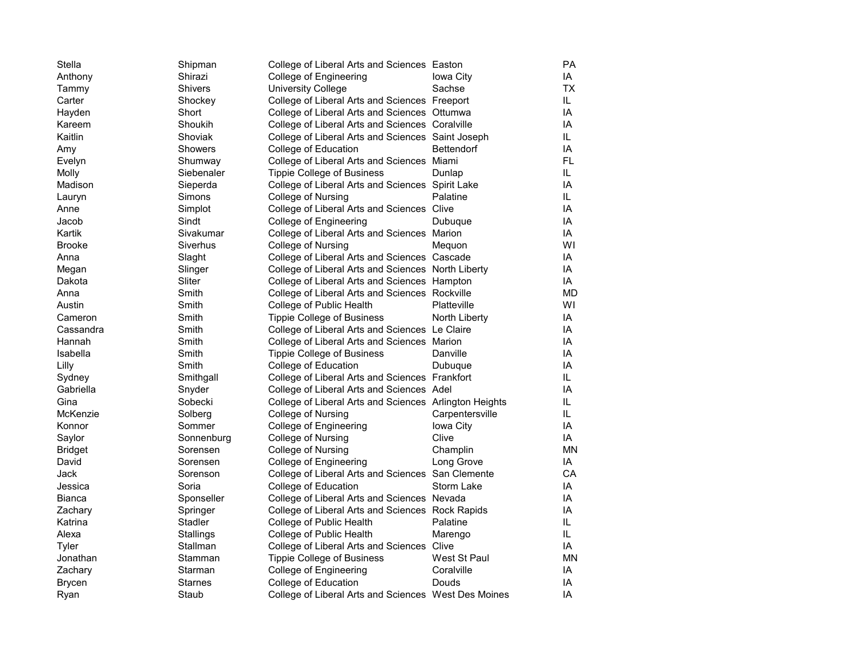| Stella         | Shipman        | College of Liberal Arts and Sciences Easton            |                   | PA        |
|----------------|----------------|--------------------------------------------------------|-------------------|-----------|
| Anthony        | Shirazi        | College of Engineering                                 | Iowa City         | IA        |
| Tammy          | <b>Shivers</b> | <b>University College</b>                              | Sachse            | <b>TX</b> |
| Carter         | Shockey        | College of Liberal Arts and Sciences Freeport          |                   | IL.       |
| Hayden         | Short          | College of Liberal Arts and Sciences Ottumwa           |                   | IA        |
| Kareem         | Shoukih        | College of Liberal Arts and Sciences Coralville        |                   | IA        |
| Kaitlin        | Shoviak        | College of Liberal Arts and Sciences Saint Joseph      |                   | IL.       |
| Amy            | <b>Showers</b> | College of Education                                   | <b>Bettendorf</b> | IA        |
| Evelyn         | Shumway        | College of Liberal Arts and Sciences Miami             |                   | <b>FL</b> |
| Molly          | Siebenaler     | Tippie College of Business                             | Dunlap            | IL.       |
| Madison        | Sieperda       | College of Liberal Arts and Sciences Spirit Lake       |                   | IA        |
| Lauryn         | Simons         | College of Nursing                                     | Palatine          | IL.       |
| Anne           | Simplot        | College of Liberal Arts and Sciences Clive             |                   | IA        |
| Jacob          | Sindt          | College of Engineering                                 | Dubuque           | IA        |
| Kartik         | Sivakumar      | College of Liberal Arts and Sciences Marion            |                   | IA        |
| <b>Brooke</b>  | Siverhus       | College of Nursing                                     | Mequon            | WI        |
| Anna           | Slaght         | College of Liberal Arts and Sciences Cascade           |                   | IA        |
| Megan          | Slinger        | College of Liberal Arts and Sciences North Liberty     |                   | IA        |
| Dakota         | Sliter         | College of Liberal Arts and Sciences Hampton           |                   | IA        |
| Anna           | Smith          | College of Liberal Arts and Sciences Rockville         |                   | <b>MD</b> |
| Austin         | Smith          | College of Public Health                               | Platteville       | WI        |
| Cameron        | Smith          | Tippie College of Business                             | North Liberty     | IA        |
| Cassandra      | Smith          | College of Liberal Arts and Sciences Le Claire         |                   | IA        |
| Hannah         | Smith          | College of Liberal Arts and Sciences Marion            |                   | IA        |
| Isabella       | Smith          | Tippie College of Business                             | Danville          | IA        |
| Lilly          | Smith          | College of Education                                   | Dubuque           | IA        |
| Sydney         | Smithgall      | College of Liberal Arts and Sciences Frankfort         |                   | IL.       |
| Gabriella      | Snyder         | College of Liberal Arts and Sciences Adel              |                   | IA        |
| Gina           | Sobecki        | College of Liberal Arts and Sciences Arlington Heights |                   | IL        |
| McKenzie       | Solberg        | College of Nursing                                     | Carpentersville   | IL.       |
| Konnor         | Sommer         | College of Engineering                                 | Iowa City         | IA        |
| Saylor         | Sonnenburg     | College of Nursing                                     | Clive             | IA        |
| <b>Bridget</b> | Sorensen       | College of Nursing                                     | Champlin          | MN        |
| David          | Sorensen       | College of Engineering                                 | Long Grove        | IA        |
| Jack           | Sorenson       | College of Liberal Arts and Sciences San Clemente      |                   | CA        |
| Jessica        | Soria          | College of Education                                   | Storm Lake        | IA        |
| Bianca         | Sponseller     | College of Liberal Arts and Sciences Nevada            |                   | IA        |
| Zachary        | Springer       | College of Liberal Arts and Sciences Rock Rapids       |                   | IA        |
| Katrina        | Stadler        | College of Public Health                               | Palatine          | IL        |
| Alexa          | Stallings      | College of Public Health                               | Marengo           | IL.       |
| Tyler          | Stallman       | College of Liberal Arts and Sciences Clive             |                   | IA        |
| Jonathan       | Stamman        | Tippie College of Business                             | West St Paul      | <b>MN</b> |
| Zachary        | Starman        | College of Engineering                                 | Coralville        | IA        |
| <b>Brycen</b>  | <b>Starnes</b> | College of Education                                   | Douds             | IA        |
| Ryan           | Staub          | College of Liberal Arts and Sciences West Des Moines   |                   | IA        |
|                |                |                                                        |                   |           |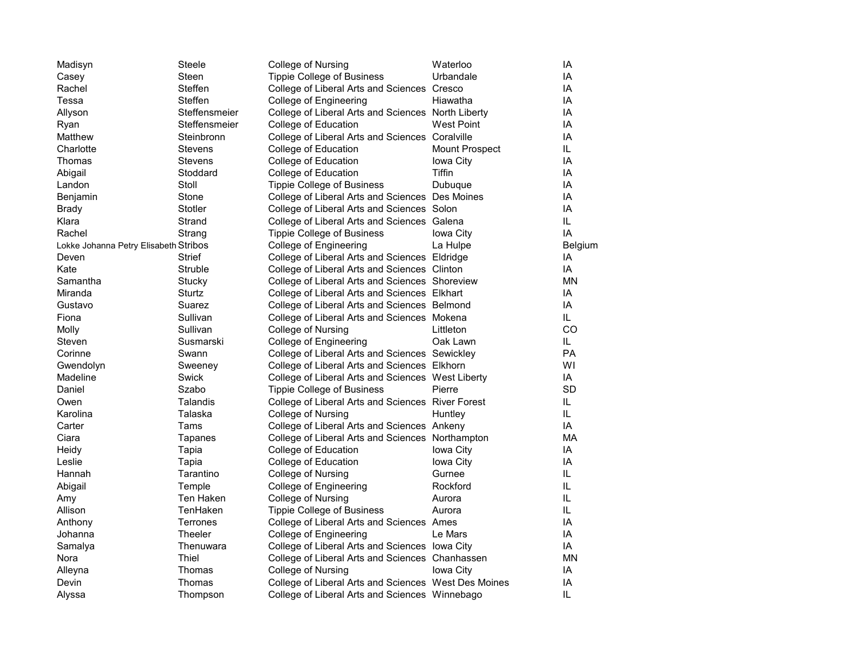| Madisyn                               | Steele         | College of Nursing                                   | Waterloo       | IA        |
|---------------------------------------|----------------|------------------------------------------------------|----------------|-----------|
| Casey                                 | Steen          | <b>Tippie College of Business</b>                    | Urbandale      | IA        |
| Rachel                                | Steffen        | College of Liberal Arts and Sciences Cresco          |                | IA        |
| Tessa                                 | Steffen        | College of Engineering                               | Hiawatha       | IA        |
| Allyson                               | Steffensmeier  | College of Liberal Arts and Sciences North Liberty   |                | IA        |
| Ryan                                  | Steffensmeier  | College of Education                                 | West Point     | IA        |
| Matthew                               | Steinbronn     | College of Liberal Arts and Sciences Coralville      |                | IA        |
| Charlotte                             | <b>Stevens</b> | College of Education                                 | Mount Prospect | IL.       |
| Thomas                                | <b>Stevens</b> | College of Education                                 | Iowa City      | IA        |
| Abigail                               | Stoddard       | College of Education                                 | <b>Tiffin</b>  | IA        |
| Landon                                | Stoll          | <b>Tippie College of Business</b>                    | Dubuque        | IA        |
| <b>Benjamin</b>                       | Stone          | College of Liberal Arts and Sciences Des Moines      |                | IA        |
| <b>Brady</b>                          | Stotler        | College of Liberal Arts and Sciences Solon           |                | IA        |
| Klara                                 | Strand         | College of Liberal Arts and Sciences Galena          |                | IL        |
| Rachel                                | Strang         | <b>Tippie College of Business</b>                    | Iowa City      | IA        |
| Lokke Johanna Petry Elisabeth Stribos |                | College of Engineering                               | La Hulpe       | Belgium   |
| Deven                                 | <b>Strief</b>  | College of Liberal Arts and Sciences Eldridge        |                | IA        |
| Kate                                  | Struble        | College of Liberal Arts and Sciences Clinton         |                | IA        |
| Samantha                              | Stucky         | College of Liberal Arts and Sciences Shoreview       |                | <b>MN</b> |
| Miranda                               | Sturtz         | College of Liberal Arts and Sciences Elkhart         |                | IA        |
| Gustavo                               | Suarez         | College of Liberal Arts and Sciences Belmond         |                | IA        |
| Fiona                                 | Sullivan       | College of Liberal Arts and Sciences Mokena          |                | IL.       |
| Molly                                 | Sullivan       | College of Nursing                                   | Littleton      | CO        |
| Steven                                | Susmarski      | College of Engineering                               | Oak Lawn       | IL.       |
| Corinne                               | Swann          | College of Liberal Arts and Sciences Sewickley       |                | <b>PA</b> |
| Gwendolyn                             | Sweeney        | College of Liberal Arts and Sciences Elkhorn         |                | WI        |
| Madeline                              | Swick          | College of Liberal Arts and Sciences West Liberty    |                | ΙA        |
| Daniel                                | Szabo          | <b>Tippie College of Business</b>                    | Pierre         | SD        |
| Owen                                  | Talandis       | College of Liberal Arts and Sciences River Forest    |                | IL.       |
| Karolina                              | Talaska        | College of Nursing                                   | Huntley        | IL.       |
| Carter                                | Tams           | College of Liberal Arts and Sciences Ankeny          |                | IA        |
| Ciara                                 | Tapanes        | College of Liberal Arts and Sciences Northampton     |                | МA        |
| Heidy                                 | Tapia          | College of Education                                 | Iowa City      | IA        |
| Leslie                                | Tapia          | College of Education                                 | Iowa City      | IA        |
| Hannah                                | Tarantino      | College of Nursing                                   | Gurnee         | IL.       |
| Abigail                               | Temple         | College of Engineering                               | Rockford       | IL        |
| Amy                                   | Ten Haken      | College of Nursing                                   | Aurora         | IL        |
| Allison                               | TenHaken       | <b>Tippie College of Business</b>                    | Aurora         | IL.       |
| Anthony                               | Terrones       | College of Liberal Arts and Sciences Ames            |                | IA        |
| Johanna                               | Theeler        | College of Engineering                               | Le Mars        | IA        |
| Samalya                               | Thenuwara      | College of Liberal Arts and Sciences lowa City       |                | IA        |
| Nora                                  | Thiel          | College of Liberal Arts and Sciences Chanhassen      |                | MΝ        |
| Alleyna                               | Thomas         | College of Nursing                                   | Iowa City      | IA        |
| Devin                                 | Thomas         | College of Liberal Arts and Sciences West Des Moines |                | IA        |
| Alyssa                                | Thompson       | College of Liberal Arts and Sciences Winnebago       |                | IL        |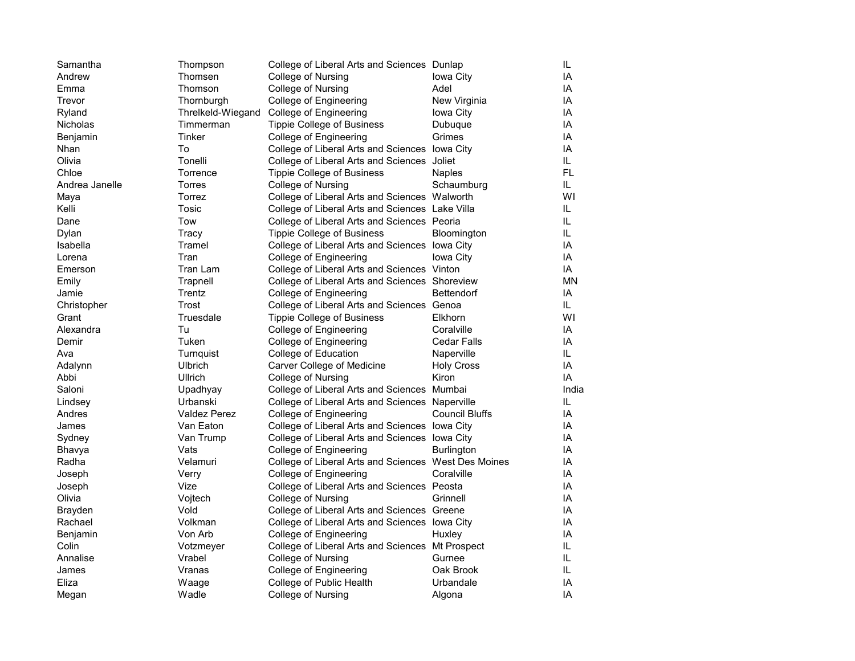| Samantha        | Thompson            | College of Liberal Arts and Sciences Dunlap          |                       | IL.   |
|-----------------|---------------------|------------------------------------------------------|-----------------------|-------|
| Andrew          | Thomsen             | College of Nursing                                   | Iowa City             | IA    |
| Emma            | Thomson             | College of Nursing                                   | Adel                  | IA    |
| Trevor          | Thornburgh          | College of Engineering                               | New Virginia          | IA    |
| Ryland          | Threlkeld-Wiegand   | College of Engineering                               | Iowa City             | IA    |
| <b>Nicholas</b> | Timmerman           | <b>Tippie College of Business</b>                    | Dubuque               | IA    |
| Benjamin        | Tinker              | College of Engineering                               | Grimes                | IA    |
| Nhan            | To                  | College of Liberal Arts and Sciences lowa City       |                       | IA    |
| Olivia          | Tonelli             | College of Liberal Arts and Sciences Joliet          |                       | IL.   |
| Chloe           | Torrence            | Tippie College of Business                           | <b>Naples</b>         | FL.   |
| Andrea Janelle  | Torres              | College of Nursing                                   | Schaumburg            | IL.   |
| Maya            | Torrez              | College of Liberal Arts and Sciences Walworth        |                       | WI    |
| Kelli           | Tosic               | College of Liberal Arts and Sciences Lake Villa      |                       | IL.   |
| Dane            | Tow                 | College of Liberal Arts and Sciences Peoria          |                       | IL.   |
| Dylan           | Tracy               | <b>Tippie College of Business</b>                    | <b>Bloomington</b>    | IL.   |
| Isabella        | Tramel              | College of Liberal Arts and Sciences lowa City       |                       | IA    |
| Lorena          | Tran                | College of Engineering                               | Iowa City             | IA    |
| Emerson         | Tran Lam            | College of Liberal Arts and Sciences Vinton          |                       | IA    |
| Emily           | Trapnell            | College of Liberal Arts and Sciences Shoreview       |                       | ΜN    |
| Jamie           | Trentz              | College of Engineering                               | Bettendorf            | IA    |
| Christopher     | Trost               | College of Liberal Arts and Sciences Genoa           |                       | IL.   |
| Grant           | Truesdale           | <b>Tippie College of Business</b>                    | Elkhorn               | WI    |
| Alexandra       | Tu                  | College of Engineering                               | Coralville            | IA    |
| Demir           | Tuken               | College of Engineering                               | <b>Cedar Falls</b>    | IA    |
| Ava             | Turnquist           | College of Education                                 | Naperville            | IL.   |
| Adalynn         | Ulbrich             | Carver College of Medicine                           | <b>Holy Cross</b>     | ΙA    |
| Abbi            | Ullrich             | College of Nursing                                   | Kiron                 | IA    |
| Saloni          | Upadhyay            | College of Liberal Arts and Sciences Mumbai          |                       | India |
| Lindsey         | Urbanski            | College of Liberal Arts and Sciences Naperville      |                       | IL.   |
| Andres          | <b>Valdez Perez</b> | College of Engineering                               | <b>Council Bluffs</b> | IA    |
| James           | Van Eaton           | College of Liberal Arts and Sciences lowa City       |                       | IA    |
| Sydney          | Van Trump           | College of Liberal Arts and Sciences lowa City       |                       | IA    |
| Bhavya          | Vats                | College of Engineering                               | Burlington            | IA    |
| Radha           | Velamuri            | College of Liberal Arts and Sciences West Des Moines |                       | ΙA    |
| Joseph          | Verry               | College of Engineering                               | Coralville            | ΙA    |
| Joseph          | Vize                | College of Liberal Arts and Sciences Peosta          |                       | IA    |
| Olivia          | Vojtech             | College of Nursing                                   | Grinnell              | IA    |
| <b>Brayden</b>  | Vold                | College of Liberal Arts and Sciences Greene          |                       | IA    |
| Rachael         | Volkman             | College of Liberal Arts and Sciences lowa City       |                       | IA    |
| Benjamin        | Von Arb             | College of Engineering                               | Huxley                | IA    |
| Colin           | Votzmeyer           | College of Liberal Arts and Sciences Mt Prospect     |                       | IL    |
| Annalise        | Vrabel              | College of Nursing                                   | Gurnee                | IL    |
| James           | Vranas              | College of Engineering                               | Oak Brook             | IL.   |
| Eliza           | Waage               | College of Public Health                             | Urbandale             | IA    |
| Megan           | Wadle               | College of Nursing                                   | Algona                | IA    |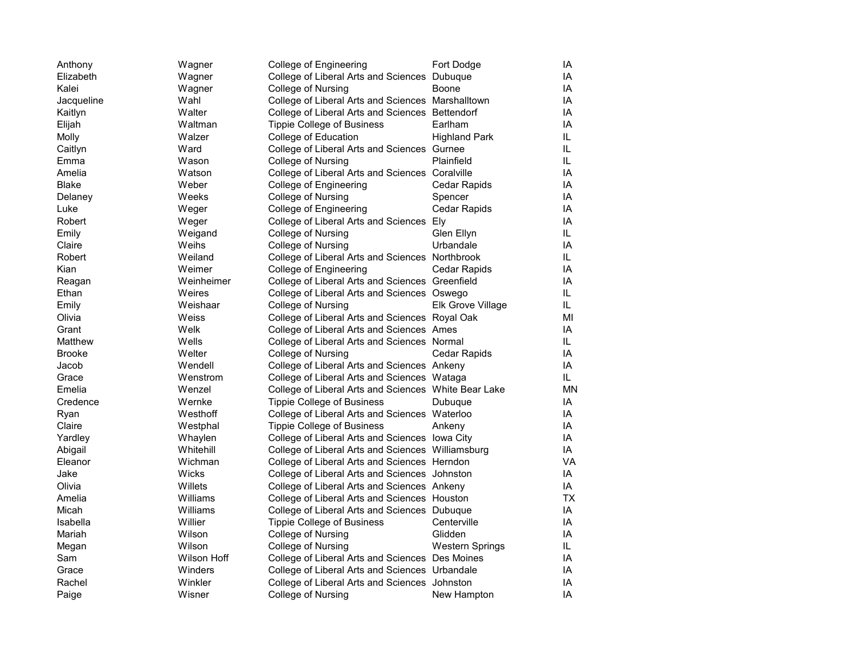| Anthony       | Wagner      | College of Engineering                               | Fort Dodge           | IA |
|---------------|-------------|------------------------------------------------------|----------------------|----|
| Elizabeth     | Wagner      | College of Liberal Arts and Sciences                 | Dubuque              | IA |
| Kalei         | Wagner      | College of Nursing                                   | Boone                | IA |
| Jacqueline    | Wahl        | College of Liberal Arts and Sciences Marshalltown    |                      | IA |
| Kaitlyn       | Walter      | College of Liberal Arts and Sciences Bettendorf      |                      | IA |
| Elijah        | Waltman     | Tippie College of Business                           | Earlham              | IA |
| Molly         | Walzer      | College of Education                                 | <b>Highland Park</b> | IL |
| Caitlyn       | Ward        | College of Liberal Arts and Sciences Gurnee          |                      | IL |
| Emma          | Wason       | College of Nursing                                   | Plainfield           | IL |
| Amelia        | Watson      | College of Liberal Arts and Sciences Coralville      |                      | ΙA |
| Blake         | Weber       | College of Engineering                               | Cedar Rapids         | IA |
| Delaney       | Weeks       | College of Nursing                                   | Spencer              | IA |
| Luke          | Weger       | College of Engineering                               | Cedar Rapids         | ΙA |
| Robert        | Weger       | College of Liberal Arts and Sciences                 | Ely                  | IA |
| Emily         | Weigand     | College of Nursing                                   | Glen Ellyn           | IL |
| Claire        | Weihs       | College of Nursing                                   | Urbandale            | IA |
| Robert        | Weiland     | College of Liberal Arts and Sciences Northbrook      |                      | IL |
| Kian          | Weimer      | College of Engineering                               | Cedar Rapids         | IA |
| Reagan        | Weinheimer  | College of Liberal Arts and Sciences Greenfield      |                      | IA |
| Ethan         | Weires      | College of Liberal Arts and Sciences Oswego          |                      | IL |
| Emily         | Weishaar    | College of Nursing                                   | Elk Grove Village    | IL |
| Olivia        | Weiss       | College of Liberal Arts and Sciences Royal Oak       |                      | MI |
| Grant         | Welk        | College of Liberal Arts and Sciences Ames            |                      | IA |
| Matthew       | Wells       | College of Liberal Arts and Sciences Normal          |                      | IL |
| <b>Brooke</b> | Welter      | College of Nursing                                   | Cedar Rapids         | IA |
| Jacob         | Wendell     | College of Liberal Arts and Sciences Ankeny          |                      | IA |
| Grace         | Wenstrom    | College of Liberal Arts and Sciences Wataga          |                      | IL |
| Emelia        | Wenzel      | College of Liberal Arts and Sciences White Bear Lake |                      | ΜN |
| Credence      | Wernke      | Tippie College of Business                           | Dubuque              | IA |
| Ryan          | Westhoff    | College of Liberal Arts and Sciences Waterloo        |                      | IA |
| Claire        | Westphal    | <b>Tippie College of Business</b>                    | Ankeny               | IA |
| Yardley       | Whaylen     | College of Liberal Arts and Sciences lowa City       |                      | IA |
| Abigail       | Whitehill   | College of Liberal Arts and Sciences Williamsburg    |                      | IA |
| Eleanor       | Wichman     | College of Liberal Arts and Sciences Herndon         |                      | VA |
| Jake          | Wicks       | College of Liberal Arts and Sciences Johnston        |                      | IA |
| Olivia        | Willets     | College of Liberal Arts and Sciences Ankeny          |                      | IA |
| Amelia        | Williams    | College of Liberal Arts and Sciences Houston         |                      | ТX |
| Micah         | Williams    | College of Liberal Arts and Sciences Dubuque         |                      | IA |
| Isabella      | Willier     | <b>Tippie College of Business</b>                    | Centerville          | IA |
| Mariah        | Wilson      | College of Nursing                                   | Glidden              | IA |
| Megan         | Wilson      | College of Nursing                                   | Western Springs      | IL |
| Sam           | Wilson Hoff | College of Liberal Arts and Sciences Des Moines      |                      | IA |
| Grace         | Winders     | College of Liberal Arts and Sciences Urbandale       |                      | IA |
| Rachel        | Winkler     | College of Liberal Arts and Sciences Johnston        |                      | IA |
| Paige         | Wisner      | College of Nursing                                   | New Hampton          | IA |